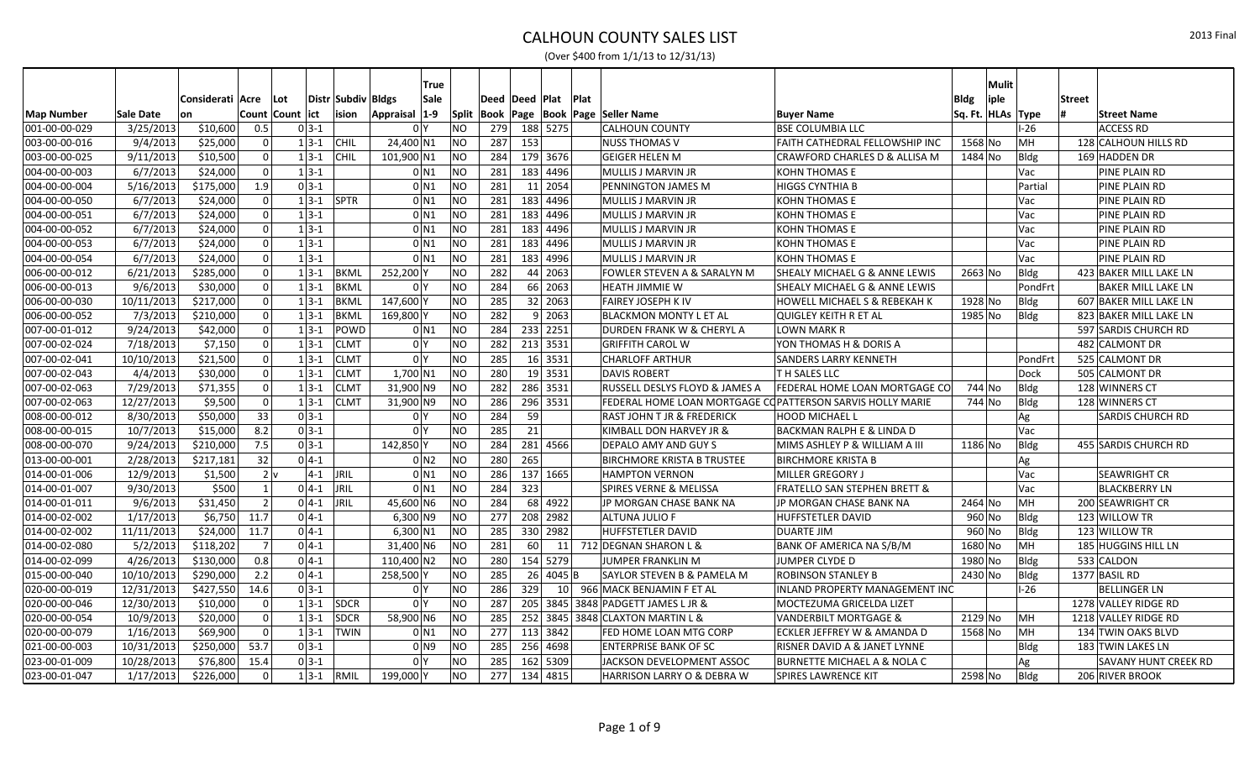|                   |            |                       |                  |               |                    | True                |           |                  |           |          |                 |                                                           |                                          |                     | Mulit |             |                             |
|-------------------|------------|-----------------------|------------------|---------------|--------------------|---------------------|-----------|------------------|-----------|----------|-----------------|-----------------------------------------------------------|------------------------------------------|---------------------|-------|-------------|-----------------------------|
|                   |            | Considerati Acre      | Lot              |               | Distr Subdiv Bldgs | Sale                |           | Deed  Deed  Plat |           |          | Plat            |                                                           |                                          | <b>Bldg</b>         | iple  |             | <b>Street</b>               |
| <b>Map Number</b> | Sale Date  | lon                   | Count Count lict |               | ision              | $1-9$<br>Appraisal  |           |                  |           |          |                 | Split   Book   Page   Book   Page   Seller Name           | <b>Buyer Name</b>                        | Sq. Ft.  HLAs  Type |       |             | <b>Street Name</b>          |
| 001-00-00-029     | 3/25/2013  | \$10,600              | 0.5              | $0 3-1 $      |                    | 0 <sup>1</sup>      | <b>NO</b> | 279              | 188 5275  |          |                 | <b>CALHOUN COUNTY</b>                                     | <b>BSE COLUMBIA LLC</b>                  |                     |       | $-26$       | <b>ACCESS RD</b>            |
| 003-00-00-016     | 9/4/2013   | \$25,000              |                  | $1 \, 3 - 1$  | <b>CHIL</b>        | 24,400 N1           | NO        | 287              | 153       |          |                 | <b>NUSS THOMAS V</b>                                      | FAITH CATHEDRAL FELLOWSHIP INC           | 1568 No             |       | MH          | 128 CALHOUN HILLS RD        |
| 003-00-00-025     | 9/11/2013  | \$10,500              | $\overline{0}$   | $1 3-1 $      | <b>CHIL</b>        | 101,900 N1          | <b>NO</b> | 284              | 179 3676  |          |                 | <b>GEIGER HELEN M</b>                                     | CRAWFORD CHARLES D & ALLISA M            | 1484 No             |       | Bldg        | 169 HADDEN DR               |
| 004-00-00-003     | 6/7/2013   | \$24,000              | $\overline{0}$   | $1 3-1 $      |                    | 0 N1                | NO        | 281              | 183 4496  |          |                 | <b>MULLIS J MARVIN JR</b>                                 | <b>KOHN THOMAS E</b>                     |                     |       | Vac         | PINE PLAIN RD               |
| 004-00-00-004     | 5/16/2013  | \$175,000             | 1.9              | $0 3-1 $      |                    | $0$ N1              | NO        | 281              |           | 11 2054  |                 | PENNINGTON JAMES M                                        | <b>HIGGS CYNTHIA B</b>                   |                     |       | Partial     | PINE PLAIN RD               |
| 004-00-00-050     | 6/7/2013   | \$24,000              | $\Omega$         | $1 3-1 $ SPTR |                    | 0 N 1               | NO        | 281              | 183 4496  |          |                 | MULLIS J MARVIN JR                                        | <b>KOHN THOMAS E</b>                     |                     |       | Vac         | PINE PLAIN RD               |
| 004-00-00-051     | 6/7/2013   | \$24,000              | $\overline{0}$   | $1 3-1 $      |                    | $0$ N1              | NO        | 281              | 183 4496  |          |                 | MULLIS J MARVIN JR                                        | KOHN THOMAS E                            |                     |       | Vac         | PINE PLAIN RD               |
| 004-00-00-052     | 6/7/2013   | \$24,000              | $\Omega$         | $1 3-1 $      |                    | 0 N 1               | NO        | 281              | 183 4496  |          |                 | MULLIS J MARVIN JR                                        | <b>KOHN THOMAS E</b>                     |                     |       | Vac         | PINE PLAIN RD               |
| 004-00-00-053     | 6/7/2013   | \$24,000              | $\overline{0}$   | $1 3-1 $      |                    | $0$ N <sub>1</sub>  | NO        | 281              | 183 4496  |          |                 | <b>MULLIS J MARVIN JR</b>                                 | <b>KOHN THOMAS E</b>                     |                     |       | Vac         | PINE PLAIN RD               |
| 004-00-00-054     | 6/7/2013   | \$24,000              | $\overline{0}$   | $1 3-1 $      |                    | $0$ N <sub>1</sub>  | NO        | 281              | 183 4996  |          |                 | MULLIS J MARVIN JR                                        | <b>KOHN THOMAS E</b>                     |                     |       | Vac         | PINE PLAIN RD               |
| 006-00-00-012     | 6/21/2013  | \$285,000             | $\overline{0}$   | $1 3-1 $      | BKML               | 252,200             | <b>NO</b> | 282              |           | 44 2063  |                 | FOWLER STEVEN A & SARALYN M                               | <b>SHEALY MICHAEL G &amp; ANNE LEWIS</b> | $2663$ No           |       | Bldg        | 423 BAKER MILL LAKE LN      |
| 006-00-00-013     | 9/6/2013   | \$30,000              | $\Omega$         | $1 3-1 $      | <b>BKML</b>        | 0 <sup>1</sup>      | NO        | 284              |           | 66 2063  |                 | <b>HEATH JIMMIE W</b>                                     | SHEALY MICHAEL G & ANNE LEWIS            |                     |       | PondFrt     | <b>BAKER MILL LAKE LN</b>   |
| 006-00-00-030     | 10/11/2013 | \$217,000             | $\Omega$         | $1 3-1 $      | <b>BKML</b>        | 147,600             | <b>NO</b> | 285              |           | 32 2063  |                 | FAIREY JOSEPH K IV                                        | <b>HOWELL MICHAEL S &amp; REBEKAH K</b>  | 1928 No             |       | Bldg        | 607 BAKER MILL LAKE LN      |
| 006-00-00-052     | 7/3/2013   | \$210,000             | $\Omega$         | $1 3-1 $      | <b>BKML</b>        | 169,800             | <b>NO</b> | $\overline{282}$ |           | 9 2063   |                 | <b>BLACKMON MONTY L ET AL</b>                             | <b>QUIGLEY KEITH R ET AL</b>             | 1985 No             |       | Bldg        | 823 BAKER MILL LAKE LN      |
| 007-00-01-012     | 9/24/2013  | \$42,000              | $\Omega$         | $1 3-1$       | POWD               | $0$ N <sub>1</sub>  | NO        | 284              | 233 2251  |          |                 | DURDEN FRANK W & CHERYL A                                 | <b>LOWN MARK R</b>                       |                     |       |             | 597 SARDIS CHURCH RD        |
| 007-00-02-024     | 7/18/2013  | \$7,150               | $\Omega$         | $1 3-1 $      | <b>CLMT</b>        | 0 <sup>1</sup>      | <b>NO</b> | 282              |           | 213 3531 |                 | <b>GRIFFITH CAROL W</b>                                   | YON THOMAS H & DORIS A                   |                     |       |             | 482 CALMONT DR              |
| 007-00-02-041     | 10/10/2013 | \$21,500              | $\overline{0}$   | $1 3-1 $      | <b>CLMT</b>        | 0 <sup>1</sup>      | NO        | 285              |           | 16 3531  |                 | <b>CHARLOFF ARTHUR</b>                                    | SANDERS LARRY KENNETH                    |                     |       | PondFrt     | 525 CALMONT DR              |
| 007-00-02-043     | 4/4/2013   | \$30,000              | $\Omega$         | $1 3-1 $      | <b>CLMT</b>        | $1,700$ N1          | NO        | 280              |           | 19 3531  |                 | <b>DAVIS ROBERT</b>                                       | <b>TH SALES LLC</b>                      |                     |       | Dock        | 505 CALMONT DR              |
| 007-00-02-063     | 7/29/2013  | \$71,355              | $\Omega$         | $1 3-1$       | <b>CLMT</b>        | 31,900 N9           | <b>NO</b> | 282              | 286 3531  |          |                 | RUSSELL DESLYS FLOYD & JAMES A                            | FEDERAL HOME LOAN MORTGAGE CO            | 744 No              |       | Bldg        | 128 WINNERS CT              |
| 007-00-02-063     | 12/27/2013 | \$9,500               | $\overline{0}$   | $1 3-1 $      | <b>CLMT</b>        | $31,900$ N9         | <b>NO</b> | 286              |           | 296 3531 |                 | FEDERAL HOME LOAN MORTGAGE COPATTERSON SARVIS HOLLY MARIE |                                          | 744 No              |       | Bldg        | 128 WINNERS CT              |
| 008-00-00-012     | 8/30/2013  | \$50,000              | 33               | $0 3-1 $      |                    | 0 <sup>1</sup>      | <b>NO</b> | 284              | 59        |          |                 | RAST JOHN T JR & FREDERICK                                | HOOD MICHAEL L                           |                     |       | Ag          | <b>SARDIS CHURCH RD</b>     |
| 008-00-00-015     | 10/7/2013  | \$15,000              | 8.2              | $03-1$        |                    | 0 <sup>1</sup>      | <b>NO</b> | 285              | 21        |          |                 | KIMBALL DON HARVEY JR &                                   | BACKMAN RALPH E & LINDA D                |                     |       | Vac         |                             |
| 008-00-00-070     | 9/24/2013  | \$210,000             | 7.5              | $0 3-1 $      |                    | 142,850             | NO        | 284              | 281       | 4566     |                 | DEPALO AMY AND GUY S                                      | MIMS ASHLEY P & WILLIAM A III            | 1186 No             |       | Bldg        | 455 SARDIS CHURCH RD        |
| 013-00-00-001     | 2/28/2013  | $\overline{$}217,181$ | 32               | $0 4-1 $      |                    | $0$ N <sub>2</sub>  | NO        | 280              | 265       |          |                 | <b>BIRCHMORE KRISTA B TRUSTEE</b>                         | <b>BIRCHMORE KRISTA B</b>                |                     |       | Ag          |                             |
| 014-00-01-006     | 12/9/2013  | \$1,500               | $2\vert v$       | $ 4-1 $       | <b>JRIL</b>        | $0$ N <sub>1</sub>  | NO        | 286              | 137 1665  |          |                 | <b>HAMPTON VERNON</b>                                     | MILLER GREGORY J                         |                     |       | Vac         | <b>SEAWRIGHT CR</b>         |
| 014-00-01-007     | 9/30/2013  | \$500                 |                  | $04-1$        | <b>JRIL</b>        | $0$ N1              | NO        | 284              | 323       |          |                 | <b>SPIRES VERNE &amp; MELISSA</b>                         | <b>FRATELLO SAN STEPHEN BRETT &amp;</b>  |                     |       | Vac         | <b>BLACKBERRY LN</b>        |
| 014-00-01-011     | 9/6/2013   | \$31,450              | $\mathcal{P}$    | $0 4-1 $      | <b>JRIL</b>        | 45,600 N6           | NO        | 284              |           | 68 4922  |                 | JP MORGAN CHASE BANK NA                                   | JP MORGAN CHASE BANK NA                  | 2464 No             |       | MH          | 200 SEAWRIGHT CR            |
| 014-00-02-002     | 1/17/2013  | \$6,750               | 11.7             | $0 4-1 $      |                    | $6,300$ N9          | <b>NO</b> | 277              |           | 208 2982 |                 | <b>ALTUNA JULIO F</b>                                     | <b>HUFFSTETLER DAVID</b>                 | 960 No              |       | <b>Bldg</b> | 123 WILLOW TR               |
| 014-00-02-002     | 11/11/2013 | \$24,000              | 11.7             | $0 4-1 $      |                    | $6,300$ N1          | <b>NO</b> | 285              | 330 2982  |          |                 | HUFFSTETLER DAVID                                         | <b>DUARTE JIM</b>                        | 960 No              |       | <b>Bldg</b> | 123 WILLOW TR               |
| 014-00-02-080     | 5/2/2013   | \$118,202             | -7               | $0 4-1 $      |                    | 31,400 N6           | <b>NO</b> | 281              | 60        |          | 11              | 712 DEGNAN SHARON L &                                     | BANK OF AMERICA NA S/B/M                 | 1680 No             |       | MН          | 185 HUGGINS HILL LN         |
| 014-00-02-099     | 4/26/2013  | \$130,000             | 0.8              | $0 4-1 $      |                    | 110,400 N2          | NO        | 280              | 154 5279  |          |                 | JUMPER FRANKLIN M                                         | JUMPER CLYDE D                           | 1980 No             |       | Bldg        | 533 CALDON                  |
| 015-00-00-040     | 10/10/2013 | \$290,000             | 2.2              | $0 4-1 $      |                    | 258,500             | <b>NO</b> | 285              | <b>26</b> | $4045$ B |                 | <b>SAYLOR STEVEN B &amp; PAMELA M</b>                     | ROBINSON STANLEY B                       | 2430 No             |       | <b>Bldg</b> | 1377 BASIL RD               |
| 020-00-00-019     | 12/31/2013 | \$427,550             | 14.6             | $0 3-1 $      |                    | 0 <sup>1</sup>      | <b>NO</b> | 286              | 329       |          | 10 <sup>1</sup> | 966 MACK BENJAMIN F ET AL                                 | <b>INLAND PROPERTY MANAGEMENT INC</b>    |                     |       | $-26$       | <b>BELLINGER LN</b>         |
| 020-00-00-046     | 12/30/2013 | \$10,000              | $\overline{0}$   | $1 3-1 $      | <b>SDCR</b>        | 0 <sup>N</sup>      | <b>NO</b> | 287              |           |          |                 | 205 3845 3848 PADGETT JAMES L JR &                        | MOCTEZUMA GRICELDA LIZET                 |                     |       |             | 1278 VALLEY RIDGE RD        |
| 020-00-00-054     | 10/9/2013  | \$20,000              | $\Omega$         | $1 3-1 $      | <b>SDCR</b>        | 58,900 N6           | <b>NO</b> | 285              |           |          |                 | 252 3845 3848 CLAXTON MARTIN L &                          | VANDERBILT MORTGAGE &                    | 2129 No             |       | MH          | 1218 VALLEY RIDGE RD        |
| 020-00-00-079     | 1/16/2013  | \$69,900              | $\Omega$         | $1 3-1 $      | <b>TWIN</b>        | 0 N1                | <b>NO</b> | 277              | 113 3842  |          |                 | FED HOME LOAN MTG CORP                                    | ECKLER JEFFREY W & AMANDA D              | 1568 No             |       | MH          | 134 TWIN OAKS BLVD          |
| 021-00-00-003     | 10/31/2013 | \$250,000             | 53.7             | $0 3-1 $      |                    | $01$ N <sub>9</sub> | <b>NO</b> | 285              | 256 4698  |          |                 | <b>ENTERPRISE BANK OF SC</b>                              | RISNER DAVID A & JANET LYNNE             |                     |       | Bldg        | 183 TWIN LAKES LN           |
| 023-00-01-009     | 10/28/2013 | \$76,800              | 15.4             | $03-1$        |                    | 0 <sup>N</sup>      | <b>NO</b> | 285              |           | 162 5309 |                 | JACKSON DEVELOPMENT ASSOC                                 | BURNETTE MICHAEL A & NOLA C              |                     |       | Ag          | <b>SAVANY HUNT CREEK RD</b> |
| 023-00-01-047     | 1/17/2013  | \$226,000             | $\Omega$         | $1 3-1 $      | <b>RMIL</b>        | 199,000 Y           | <b>NO</b> | 277              | 134       | 4815     |                 | HARRISON LARRY O & DEBRA W                                | SPIRES LAWRENCE KIT                      | 2598 No             |       | Bldg        | 206 RIVER BROOK             |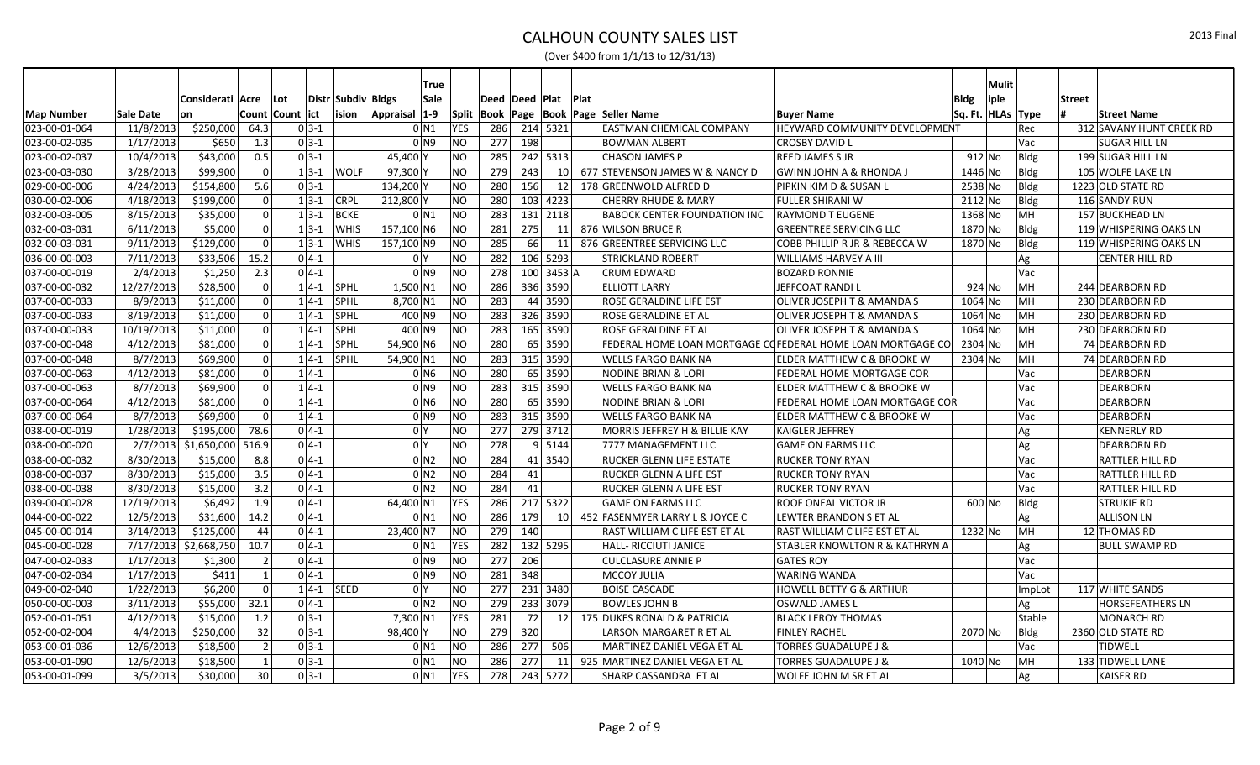|                   |            |                       |               |                  |          |                    | True                 |            |                    |     |                      |             |                                         |                                                            |                   | <b>Mulit</b> |               |                          |
|-------------------|------------|-----------------------|---------------|------------------|----------|--------------------|----------------------|------------|--------------------|-----|----------------------|-------------|-----------------------------------------|------------------------------------------------------------|-------------------|--------------|---------------|--------------------------|
|                   |            | Considerati Acre      |               | ∣Lot             |          | Distr Subdiv Bldgs | Sale                 |            | Deed   Deed   Plat |     |                      | <b>Plat</b> |                                         |                                                            | <b>Bldg</b>       | iple         | <b>Street</b> |                          |
| <b>Map Number</b> | Sale Date  | on                    |               | Count Count lict |          | ision              | $ 1-9 $<br>Appraisal | Split      |                    |     |                      |             | Book   Page   Book   Page   Seller Name | <b>Buyer Name</b>                                          | Sq. Ft. HLAs Type |              |               | <b>Street Name</b>       |
| 023-00-01-064     | 11/8/2013  | \$250,000             | 64.3          |                  | $0 3-1 $ |                    | $0$ N1               | <b>YES</b> | 286                |     | 214 5321             |             | <b>EASTMAN CHEMICAL COMPANY</b>         | HEYWARD COMMUNITY DEVELOPMENT                              |                   |              | Rec           | 312 SAVANY HUNT CREEK RD |
| 023-00-02-035     | 1/17/2013  | \$650                 | 1.3           |                  | $0 3-1 $ |                    | 0 N9                 | <b>NO</b>  | 277                | 198 |                      |             | <b>BOWMAN ALBERT</b>                    | <b>CROSBY DAVID L</b>                                      |                   |              | Vac           | <b>SUGAR HILL LN</b>     |
| 023-00-02-037     | 10/4/2013  | \$43,000              | 0.5           |                  | $0 3-1 $ |                    | 45,400               | NO.        | 285                |     | 242 5313             |             | <b>CHASON JAMES P</b>                   | <b>REED JAMES S JR</b>                                     | $912$ No          |              | Bldg          | 199 SUGAR HILL LN        |
| 023-00-03-030     | 3/28/2013  | \$99,900              |               |                  | $1 3-1 $ | <b>WOLF</b>        | 97,300               | NO         | 279                | 243 | 10 <sup>1</sup>      |             | 677 STEVENSON JAMES W & NANCY D         | <b>GWINN JOHN A &amp; RHONDA J</b>                         | 1446 No           |              | Bldg          | 105 WOLFE LAKE LN        |
| 029-00-00-006     | 4/24/2013  | \$154,800             | 5.6           |                  | $0 3-1 $ |                    | 134,200\             | <b>NO</b>  | 280                | 156 | 12                   |             | 178 GREENWOLD ALFRED D                  | PIPKIN KIM D & SUSAN L                                     | 2538 No           |              | <b>Bldg</b>   | 1223 OLD STATE RD        |
| 030-00-02-006     | 4/18/2013  | $\overline{$}199,000$ |               |                  | $1 3-1 $ | <b>CRPL</b>        | 212,800              | <b>NO</b>  | 280                |     | 103 4223             |             | <b>CHERRY RHUDE &amp; MARY</b>          | <b>FULLER SHIRANI W</b>                                    | 2112 No           |              | Bldg          | 116 SANDY RUN            |
| 032-00-03-005     | 8/15/2013  | \$35,000              | U             |                  | $1 3-1 $ | <b>BCKE</b>        | $0$ N1               | <b>NO</b>  | 283                |     | 131 2118             |             | <b>BABOCK CENTER FOUNDATION INC</b>     | <b>RAYMOND T EUGENE</b>                                    | 1368 No           |              | MH            | 157 BUCKHEAD LN          |
| 032-00-03-031     | 6/11/2013  | \$5,000               |               |                  | $1 3-1$  | <b>WHIS</b>        | 157,100 N6           | NO.        | 281                | 275 | 11                   |             | 876 WILSON BRUCE R                      | <b>GREENTREE SERVICING LLC</b>                             | 1870 No           |              | Bldg          | 119 WHISPERING OAKS LN   |
| 032-00-03-031     | 9/11/2013  | \$129,000             |               |                  | $1 3-1 $ | <b>WHIS</b>        | 157,100 N9           | NO         | 285                | 66  | 11                   |             | 876 GREENTREE SERVICING LLC             | COBB PHILLIP R JR & REBECCA W                              | 1870 No           |              | Bldg          | 119 WHISPERING OAKS LN   |
| 036-00-00-003     | 7/11/2013  | \$33,506              | 15.2          |                  | $0 4-1$  |                    | 0 I Y                | NO         | 282                |     | 106 5293             |             | STRICKLAND ROBERT                       | WILLIAMS HARVEY A III                                      |                   |              | Ag            | <b>CENTER HILL RD</b>    |
| 037-00-00-019     | 2/4/2013   | \$1,250               | 2.3           |                  | $0 4-1$  |                    | 0 <sub>1</sub>       | <b>NO</b>  | 278                |     | $100$ 3453 A         |             | <b>CRUM EDWARD</b>                      | <b>BOZARD RONNIE</b>                                       |                   |              | Vac           |                          |
| 037-00-00-032     | 12/27/2013 | \$28,500              |               |                  | $1 4-1 $ | <b>SPHL</b>        | $1,500$ N1           | <b>NO</b>  | 286                |     | 336 3590             |             | <b>ELLIOTT LARRY</b>                    | JEFFCOAT RANDIL                                            | $924$ No          |              | MH            | 244 DEARBORN RD          |
| 037-00-00-033     | 8/9/2013   | \$11,000              |               |                  | $1 4-1$  | <b>SPHL</b>        | $8,700$ N1           | ΝO         | 283                |     | 44 3590              |             | ROSE GERALDINE LIFE EST                 | OLIVER JOSEPH T & AMANDA S                                 | 1064 No           |              | MH            | 230 DEARBORN RD          |
| 037-00-00-033     | 8/19/2013  | \$11,000              |               |                  | $1 4-1$  | <b>SPHL</b>        | 400 N9               | NO         | 283                |     | 326 3590             |             | ROSE GERALDINE ET AL                    | OLIVER JOSEPH T & AMANDA S                                 | 1064 No           |              | MH            | 230 DEARBORN RD          |
| 037-00-00-033     | 10/19/2013 | \$11,000              |               |                  | $1 4-1 $ | <b>SPHL</b>        | 400 N9               | NO.        | 283                |     | 165 3590             |             | ROSE GERALDINE ET AL                    | OLIVER JOSEPH T & AMANDA S                                 | 1064 No           |              | MH            | 230 DEARBORN RD          |
| 037-00-00-048     | 4/12/2013  | \$81,000              |               |                  | $1 4-1$  | <b>SPHL</b>        | 54,900 N6            | NO         | 280                |     | 65 3590              |             |                                         | FEDERAL HOME LOAN MORTGAGE COFEDERAL HOME LOAN MORTGAGE CO | 2304 No           |              | MН            | 74 DEARBORN RD           |
| 037-00-00-048     | 8/7/2013   | \$69,900              |               |                  | $1 4-1 $ | <b>SPHL</b>        | 54,900 N1            | NO         | 283                |     | 315 3590             |             | <b>WELLS FARGO BANK NA</b>              | ELDER MATTHEW C & BROOKE W                                 | 2304 No           |              | MH            | 74 DEARBORN RD           |
| 037-00-00-063     | 4/12/2013  | \$81,000              |               |                  | $1 4-1$  |                    | $0$ N <sub>6</sub>   | <b>NO</b>  | 280                |     | $\overline{65}$ 3590 |             | <b>NODINE BRIAN &amp; LORI</b>          | FEDERAL HOME MORTGAGE COR                                  |                   |              | Vac           | <b>DEARBORN</b>          |
| 037-00-00-063     | 8/7/2013   | \$69,900              |               |                  | $1 4-1$  |                    | 0 N9                 | <b>NO</b>  | 283                |     | 315 3590             |             | <b>WELLS FARGO BANK NA</b>              | ELDER MATTHEW C & BROOKE W                                 |                   |              | Vac           | <b>DEARBORN</b>          |
| 037-00-00-064     | 4/12/2013  | \$81,000              |               |                  | $1 4-1$  |                    | $0$ N <sub>6</sub>   | <b>NO</b>  | 280                |     | 65 3590              |             | <b>NODINE BRIAN &amp; LORI</b>          | FEDERAL HOME LOAN MORTGAGE COR                             |                   |              | Vac           | <b>DEARBORN</b>          |
| 037-00-00-064     | 8/7/2013   | \$69,900              |               |                  | $1 4-1$  |                    | $01$ N <sub>9</sub>  | NO.        | 283                |     | 315 3590             |             | <b>WELLS FARGO BANK NA</b>              | ELDER MATTHEW C & BROOKE W                                 |                   |              | Vac           | <b>DEARBORN</b>          |
| 038-00-00-019     | 1/28/2013  | \$195,000             | 78.6          |                  | $0 4-1 $ |                    | 0 Y                  | NO         | 277                |     | 279 3712             |             | MORRIS JEFFREY H & BILLIE KAY           | <b>KAIGLER JEFFREY</b>                                     |                   |              | Ag            | <b>KENNERLY RD</b>       |
| 038-00-00-020     | 2/7/2013   | \$1,650,000           | 516.9         |                  | $0 4-1 $ |                    | 0 Y                  | <b>NO</b>  | 278                |     | 9 5144               |             | 7777 MANAGEMENT LLC                     | <b>GAME ON FARMS LLC</b>                                   |                   |              | Ag            | <b>DEARBORN RD</b>       |
| 038-00-00-032     | 8/30/2013  | \$15,000              | 8.8           |                  | $0 4-1 $ |                    | $0$ N <sub>2</sub>   | NO         | 284                |     | 41 3540              |             | RUCKER GLENN LIFE ESTATE                | <b>RUCKER TONY RYAN</b>                                    |                   |              | Vac           | <b>RATTLER HILL RD</b>   |
| 038-00-00-037     | 8/30/2013  | \$15,000              | 3.5           |                  | $0 4-1 $ |                    | $01$ N <sub>2</sub>  | NO         | 284                | 41  |                      |             | RUCKER GLENN A LIFE EST                 | <b>RUCKER TONY RYAN</b>                                    |                   |              | Vac           | <b>RATTLER HILL RD</b>   |
| 038-00-00-038     | 8/30/2013  | \$15,000              | 3.2           |                  | $0 4-1 $ |                    | 0 N2                 | NO         | 284                | 41  |                      |             | RUCKER GLENN A LIFE EST                 | <b>RUCKER TONY RYAN</b>                                    |                   |              | Vac           | RATTLER HILL RD          |
| 039-00-00-028     | 12/19/2013 | \$6,492               | 1.9           |                  | $0 4-1$  |                    | 64,400 N1            | <b>YES</b> | 286                |     | 217 5322             |             | <b>GAME ON FARMS LLC</b>                | ROOF ONEAL VICTOR JR                                       | 600 No            |              | Bldg          | <b>STRUKIE RD</b>        |
| 044-00-00-022     | 12/5/2013  | \$31,600              | 14.2          |                  | $0 4-1 $ |                    | 0 N1                 | <b>NO</b>  | 286                | 179 | 10 <sup>1</sup>      |             | 452 FASENMYER LARRY L & JOYCE C         | LEWTER BRANDON S ET AL                                     |                   |              | Ag            | <b>ALLISON LN</b>        |
| 045-00-00-014     | 3/14/2013  | \$125,000             | 44            |                  | $0 4-1$  |                    | 23,400 N7            | NO.        | 279                | 140 |                      |             | RAST WILLIAM C LIFE EST ET AL           | RAST WILLIAM C LIFE EST ET AL                              | 1232 No           |              | MH            | 12 THOMAS RD             |
| 045-00-00-028     | 7/17/2013  | \$2,668,750           | 10.7          |                  | $0 4-1 $ |                    | $0$ <sub>N1</sub>    | <b>YES</b> | 282                |     | 132 5295             |             | <b>HALL- RICCIUTI JANICE</b>            | STABLER KNOWLTON R & KATHRYN A                             |                   |              | Ag            | <b>BULL SWAMP RD</b>     |
| 047-00-02-033     | 1/17/2013  | \$1,300               |               |                  | $0 4-1 $ |                    | 0 N9                 | NO         | 277                | 206 |                      |             | <b>CULCLASURE ANNIE P</b>               | <b>GATES ROY</b>                                           |                   |              | Vac           |                          |
| 047-00-02-034     | 1/17/2013  | \$411                 |               |                  | $0 4-1$  |                    | 0 <sub>1</sub>       | NO.        | 281                | 348 |                      |             | <b>MCCOY JULIA</b>                      | <b>WARING WANDA</b>                                        |                   |              | Vac           |                          |
| 049-00-02-040     | 1/22/2013  | \$6,200               |               |                  |          | $1 4-1 $ SEED      | 0 <sup>IY</sup>      | NO.        | 277                |     | 231 3480             |             | <b>BOISE CASCADE</b>                    | HOWELL BETTY G & ARTHUR                                    |                   |              | ImpLot        | 117 WHITE SANDS          |
| 050-00-00-003     | 3/11/2013  | \$55,000              | 32.1          |                  | $0 4-1 $ |                    | $0 \mid N2$          | <b>NO</b>  | 279                |     | 233 3079             |             | <b>BOWLES JOHN B</b>                    | <b>OSWALD JAMES L</b>                                      |                   |              | Ag            | <b>HORSEFEATHERS LN</b>  |
| 052-00-01-051     | 4/12/2013  | \$15,000              | 1.2           |                  | $0 3-1$  |                    | 7,300 N1             | <b>YES</b> | 281                | 72  |                      |             | 12 175 DUKES RONALD & PATRICIA          | <b>BLACK LEROY THOMAS</b>                                  |                   |              | Stable        | <b>MONARCH RD</b>        |
| 052-00-02-004     | 4/4/2013   | \$250,000             | 32            |                  | $0 3-1 $ |                    | 98,400               | NO         | 279                | 320 |                      |             | LARSON MARGARET R ET AL                 | <b>FINLEY RACHEL</b>                                       | 2070 No           |              | Bldg          | 2360 OLD STATE RD        |
| 053-00-01-036     | 12/6/2013  | \$18,500              | $\mathcal{P}$ |                  | $0 3-1 $ |                    | $0$ N <sub>1</sub>   | <b>NO</b>  | 286                | 277 | 506                  |             | MARTINEZ DANIEL VEGA ET AL              | <b>TORRES GUADALUPE J &amp;</b>                            |                   |              | Vac           | <b>TIDWELL</b>           |
| 053-00-01-090     | 12/6/2013  | \$18,500              |               |                  | $0 3-1 $ |                    | 0 N1                 | <b>NO</b>  | 286                | 277 | 11                   |             | 925 MARTINEZ DANIEL VEGA ET AL          | <b>TORRES GUADALUPE J &amp;</b>                            | 1040 No           |              | MH            | 133 TIDWELL LANE         |
| 053-00-01-099     | 3/5/2013   | \$30,000              | 30            |                  | $0 3-1 $ |                    | $0$ N1               | <b>YES</b> | 278                |     | 243 5272             |             | SHARP CASSANDRA ET AL                   | WOLFE JOHN M SR ET AL                                      |                   |              | Ag            | <b>KAISER RD</b>         |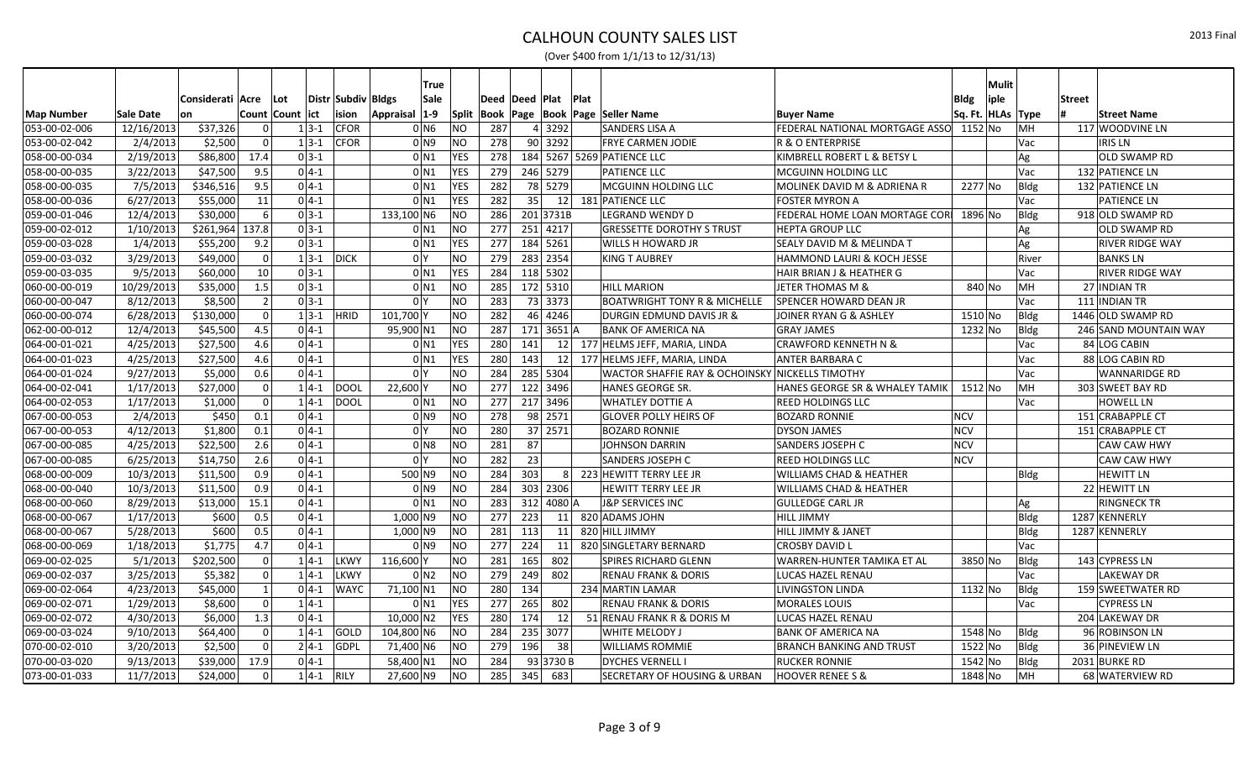|               |            |                       |               |             |              |                    |                | <b>True</b>        |              |                  |                                         |                                                 |                                        |                       | <b>Mulit</b> |               |                        |
|---------------|------------|-----------------------|---------------|-------------|--------------|--------------------|----------------|--------------------|--------------|------------------|-----------------------------------------|-------------------------------------------------|----------------------------------------|-----------------------|--------------|---------------|------------------------|
|               |            | Considerati   Acre    |               | Lot         |              | Distr Subdiv Bldgs |                | Sale               |              |                  | Deed  Deed  Plat  Plat                  |                                                 |                                        | <b>Bldg</b>           | iple         | <b>Street</b> |                        |
| Map Number    | Sale Date  | on                    |               | Count Count | lict         | ision              | Appraisal      | $ 1-9 $            | <b>Split</b> |                  | Book   Page   Book   Page   Seller Name |                                                 | <b>Buyer Name</b>                      | Sq. Ft.   HLAs   Type |              |               | <b>Street Name</b>     |
| 053-00-02-006 | 12/16/2013 | \$37,326              |               |             | $1 3-1 $     | <b>CFOR</b>        |                | 0 <sub>N6</sub>    | NO.          | 287              | 4 3292                                  | SANDERS LISA A                                  | FEDERAL NATIONAL MORTGAGE ASSO 1152 No |                       |              | MH            | 117 WOODVINE LN        |
| 053-00-02-042 | 2/4/2013   | \$2,500               |               |             | $1 3-1$      | <b>CFOR</b>        |                | 0 N9               | <b>NO</b>    | 278              | 90 3292                                 | <b>FRYE CARMEN JODIE</b>                        | R & O ENTERPRISE                       |                       |              | Vac           | <b>IRIS LN</b>         |
| 058-00-00-034 | 2/19/2013  | \$86,800              | 17.4          |             | $0 3-1$      |                    |                | 0 N1               | <b>YES</b>   | 278              |                                         | 184 5267 5269 PATIENCE LLC                      | KIMBRELL ROBERT L & BETSY L            |                       |              | Ag            | <b>OLD SWAMP RD</b>    |
| 058-00-00-035 | 3/22/2013  | \$47,500              | 9.5           |             | $0 4-1$      |                    |                | $0$ N <sub>1</sub> | <b>YES</b>   | 279              | 246 5279                                | <b>PATIENCE LLC</b>                             | MCGUINN HOLDING LLC                    |                       |              | Vac           | 132 PATIENCE LN        |
| 058-00-00-035 | 7/5/2013   | \$346,516             | 9.5           |             | $04-1$       |                    |                | 0 N1               | <b>YES</b>   | 282              | 78 5279                                 | MCGUINN HOLDING LLC                             | MOLINEK DAVID M & ADRIENA R            | 2277 No               |              | Bldg          | 132 PATIENCE LN        |
| 058-00-00-036 | 6/27/2013  | \$55,000              | 11            |             | $0 4-1 $     |                    |                | 0 <sub>N1</sub>    | <b>YES</b>   | 282              | 35                                      | 12 181 PATIENCE LLC                             | <b>FOSTER MYRON A</b>                  |                       |              | Vac           | <b>PATIENCE LN</b>     |
| 059-00-01-046 | 12/4/2013  | \$30,000              | 6             |             | $0 3-1 $     |                    | 133,100 N6     |                    | NO           | 286              | 2013731B                                | <b>LEGRAND WENDY D</b>                          | FEDERAL HOME LOAN MORTAGE COR          | 1896 No               |              | Bldg          | 918 OLD SWAMP RD       |
| 059-00-02-012 | 1/10/2013  | \$261,964             | 137.8         |             | $0 3-1$      |                    |                | $0$ N <sub>1</sub> | NO           | 277              | 251 4217                                | <b>GRESSETTE DOROTHY S TRUST</b>                | <b>HEPTA GROUP LLC</b>                 |                       |              | Ag            | <b>OLD SWAMP RD</b>    |
| 059-00-03-028 | 1/4/2013   | \$55,200              | 9.2           |             | $0 3-1$      |                    |                | $0$ N <sub>1</sub> | <b>YES</b>   | 277              | 184 5261                                | WILLS H HOWARD JR                               | SEALY DAVID M & MELINDA T              |                       |              | Ag            | <b>RIVER RIDGE WAY</b> |
| 059-00-03-032 | 3/29/2013  | \$49,000              | $\Omega$      |             | $1 \, 3 - 1$ | <b>DICK</b>        |                | 0 <sup>I</sup> Y   | NO           | 279              | 283 2354                                | <b>KING T AUBREY</b>                            | <b>HAMMOND LAURI &amp; KOCH JESSE</b>  |                       |              | River         | <b>BANKSLN</b>         |
| 059-00-03-035 | 9/5/2013   | \$60,000              | 10            |             | $0 \, 3 - 1$ |                    |                | 0 N1               | <b>YES</b>   | 284              | 118 5302                                |                                                 | HAIR BRIAN J & HEATHER G               |                       |              | Vac           | <b>RIVER RIDGE WAY</b> |
| 060-00-00-019 | 10/29/2013 | \$35,000              | 1.5           |             | $0 3-1$      |                    |                | $0$ N <sub>1</sub> | <b>NO</b>    | 285              | 172 5310                                | <b>HILL MARION</b>                              | <b>JETER THOMAS M &amp;</b>            | 840 No                |              | MH            | 27 INDIAN TR           |
| 060-00-00-047 | 8/12/2013  | \$8,500               | $\mathcal{P}$ |             | $0 3-1 $     |                    |                | 0 <sup>1</sup>     | <b>NO</b>    | 283              | 73 3373                                 | <b>BOATWRIGHT TONY R &amp; MICHELLE</b>         | <b>SPENCER HOWARD DEAN JR</b>          |                       |              | Vac           | 111 INDIAN TR          |
| 060-00-00-074 | 6/28/2013  | \$130,000             |               |             | $1 3-1 $     | <b>HRID</b>        | 101,700        |                    | NO           | 282              | 46 4246                                 | DURGIN EDMUND DAVIS JR &                        | JOINER RYAN G & ASHLEY                 | $1510$ No             |              | Bldg          | 1446 OLD SWAMP RD      |
| 062-00-00-012 | 12/4/2013  | \$45,500              | 4.5           |             | $0 4-1$      |                    | 95,900 N1      |                    | <b>NO</b>    | 287              | 171 3651 A                              | <b>BANK OF AMERICA NA</b>                       | <b>GRAY JAMES</b>                      | 1232 No               |              | Bldg          | 246 SAND MOUNTAIN WAY  |
| 064-00-01-021 | 4/25/2013  | \$27,500              | 4.6           |             | $0 4-1 $     |                    |                | 0 N1               | <b>YES</b>   | 280              | 141                                     | 12 177 HELMS JEFF, MARIA, LINDA                 | CRAWFORD KENNETH N &                   |                       |              | Vac           | 84 LOG CABIN           |
| 064-00-01-023 | 4/25/2013  | \$27,500              | 4.6           |             | $0 4-1 $     |                    |                | 0 N1               | <b>YES</b>   | 280              | 143                                     | 12 177 HELMS JEFF, MARIA, LINDA                 | ANTER BARBARA C                        |                       |              | Vac           | 88 LOG CABIN RD        |
| 064-00-01-024 | 9/27/2013  | \$5,000               | 0.6           |             | $0 4-1 $     |                    | 0 <sup>Y</sup> |                    | NO           | 284              | 285 5304                                | WACTOR SHAFFIE RAY & OCHOINSKY NICKELLS TIMOTHY |                                        |                       |              | Vac           | <b>WANNARIDGE RD</b>   |
| 064-00-02-041 | 1/17/2013  | \$27,000              | $\Omega$      |             | $1 4-1$      | <b>DOOL</b>        | 22,600 Y       |                    | <b>NO</b>    | 277              | 122 3496                                | <b>HANES GEORGE SR.</b>                         | HANES GEORGE SR & WHALEY TAMIK         | 1512 No               |              | MH            | 303 SWEET BAY RD       |
| 064-00-02-053 | 1/17/2013  | \$1,000               |               |             | $1 4-1$      | DOOL               |                | $0$ N <sub>1</sub> | NO           | 277              | 217 3496                                | <b>WHATLEY DOTTIE A</b>                         | <b>REED HOLDINGS LLC</b>               |                       |              | Vac           | <b>HOWELL LN</b>       |
| 067-00-00-053 | 2/4/2013   | \$450                 | 0.1           |             | $0 4-1$      |                    |                | 0 <sub>1</sub>     | <b>NO</b>    | 278              | 98 2571                                 | <b>GLOVER POLLY HEIRS OF</b>                    | <b>BOZARD RONNIE</b>                   | <b>NCV</b>            |              |               | 151 CRABAPPLE CT       |
| 067-00-00-053 | 4/12/2013  | \$1,800               | 0.1           |             | $0 4-1 $     |                    |                | 0 I Y              | NO           | 280              | 37 2571                                 | <b>BOZARD RONNIE</b>                            | <b>DYSON JAMES</b>                     | NCV                   |              |               | 151 CRABAPPLE CT       |
| 067-00-00-085 | 4/25/2013  | \$22,500              | 2.6           |             | $0 4-1 $     |                    |                | 0 N8               | <b>NO</b>    | 281              | 87                                      | <b>JOHNSON DARRIN</b>                           | <b>SANDERS JOSEPH C</b>                | <b>NCV</b>            |              |               | <b>CAW CAW HWY</b>     |
| 067-00-00-085 | 6/25/2013  | \$14,750              | 2.6           |             | $0 4-1 $     |                    | 0 I Y          |                    | ΝO           | 282              | 23                                      | SANDERS JOSEPH C                                | REED HOLDINGS LLC                      | <b>NCV</b>            |              |               | <b>CAW CAW HWY</b>     |
| 068-00-00-009 | 10/3/2013  | \$11,500              | 0.9           |             | $0 4-1 $     |                    | 500 N9         |                    | NO.          | 284              | 303                                     | 8 223 HEWITT TERRY LEE JR                       | <b>WILLIAMS CHAD &amp; HEATHER</b>     |                       |              | Bldg          | <b>HEWITT LN</b>       |
| 068-00-00-040 | 10/3/2013  | \$11,500              | 0.9           |             | $0 4-1$      |                    |                | 0 N9               | NO           | 284              | 303 2306                                | HEWITT TERRY LEE JR                             | <b>WILLIAMS CHAD &amp; HEATHER</b>     |                       |              |               | 22 HEWITT LN           |
| 068-00-00-060 | 8/29/2013  | \$13,000              | 15.1          |             | $0 4-1 $     |                    |                | $0$ N1             | <b>NO</b>    | 283              | $312$ 4080 A                            | <b>J&amp;P SERVICES INC</b>                     | <b>GULLEDGE CARL JR</b>                |                       |              | Ag            | <b>RINGNECK TR</b>     |
| 068-00-00-067 | 1/17/2013  | \$600                 | 0.5           |             | $04-1$       |                    | $1,000$ N9     |                    | ΝO           | $\overline{277}$ | 223                                     | 11 820 ADAMS JOHN                               | <b>HILL JIMMY</b>                      |                       |              | Bldg          | 1287 KENNERLY          |
| 068-00-00-067 | 5/28/2013  | \$600                 | 0.5           |             | $0 4-1 $     |                    | $1,000$ N9     |                    | NO           | 281              | 113<br>11                               | 820 HILL JIMMY                                  | <b>HILL JIMMY &amp; JANET</b>          |                       |              | Bldg          | 1287 KENNERLY          |
| 068-00-00-069 | 1/18/2013  | \$1,775               | 4.7           |             | $0 4-1$      |                    |                | 0 N9               | NO           | 277              | 224<br>11                               | 820 SINGLETARY BERNARD                          | <b>CROSBY DAVID L</b>                  |                       |              | Vac           |                        |
| 069-00-02-025 | 5/1/2013   | $\overline{$}202,500$ |               |             | $1 4-1$      | LKWY               | 116,600        |                    | <b>NO</b>    | 281              | 165<br>802                              | <b>SPIRES RICHARD GLENN</b>                     | WARREN-HUNTER TAMIKA ET AL             | 3850 No               |              | Bldg          | 143 CYPRESS LN         |
| 069-00-02-037 | 3/25/2013  | \$5,382               |               |             | $1 4-1$      | LKWY               |                | 0 N2               | NO           | 279              | 802<br>249                              | <b>RENAU FRANK &amp; DORIS</b>                  | LUCAS HAZEL RENAU                      |                       |              | Vac           | <b>LAKEWAY DR</b>      |
| 069-00-02-064 | 4/23/2013  | \$45,000              |               |             | $0 4-1 $     | <b>WAYC</b>        | 71,100 N1      |                    | NO           | 280              | 134                                     | 234 MARTIN LAMAR                                | <b>LIVINGSTON LINDA</b>                | 1132 No               |              | Bldg          | 159 SWEETWATER RD      |
| 069-00-02-071 | 1/29/2013  | \$8,600               |               |             | $1 4-1$      |                    |                | $0$ N1             | <b>YES</b>   | 277              | 265<br>802                              | <b>RENAU FRANK &amp; DORIS</b>                  | <b>MORALES LOUIS</b>                   |                       |              | Vac           | <b>CYPRESS LN</b>      |
| 069-00-02-072 | 4/30/2013  | \$6,000               | 1.3           |             | $0 4-1 $     |                    | $10,000$ N2    |                    | <b>YES</b>   | 280              | 174<br>12                               | 51 RENAU FRANK R & DORIS M                      | LUCAS HAZEL RENAU                      |                       |              |               | 204 LAKEWAY DR         |
| 069-00-03-024 | 9/10/2013  | \$64,400              |               |             | $1 4-1$      | GOLD               | 104,800 N6     |                    | ΝO           | 284              | 235<br>3077                             | WHITE MELODY J                                  | <b>BANK OF AMERICA NA</b>              | 1548 No               |              | Bldg          | 96 ROBINSON LN         |
| 070-00-02-010 | 3/20/2013  | \$2,500               | U             |             | $2 4-1 $     | <b>GDPL</b>        | 71,400 N6      |                    | NO.          | 279              | 196<br>38                               | <b>WILLIAMS ROMMIE</b>                          | <b>BRANCH BANKING AND TRUST</b>        | 1522 No               |              | Bldg          | 36 PINEVIEW LN         |
| 070-00-03-020 | 9/13/2013  | \$39,000              | 17.9          |             | $0 4-1$      |                    | 58,400 N1      |                    | <b>NO</b>    | 284              | 93 3730 B                               | <b>DYCHES VERNELL</b>                           | <b>RUCKER RONNIE</b>                   | 1542 No               |              | Bldg          | 2031 BURKE RD          |
| 073-00-01-033 | 11/7/2013  | \$24,000              | $\Omega$      |             | $1 4-1 $     | <b>RILY</b>        | 27,600 N9      |                    | NO           | 285              | 345<br>683                              | SECRETARY OF HOUSING & URBAN                    | <b>HOOVER RENEE S &amp;</b>            | 1848 No               |              | lмн           | 68 WATERVIEW RD        |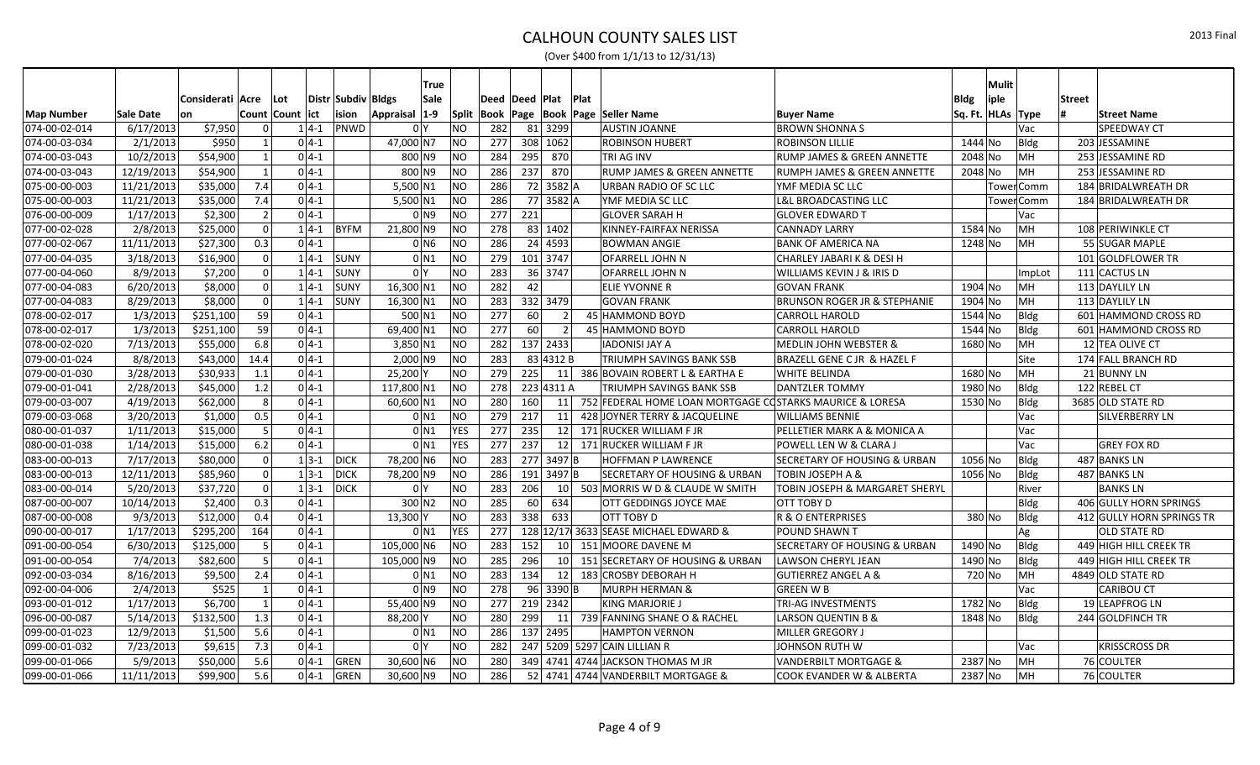|                   |            |                  |                          |               |                    | True                 |            |                  |     |                        |      |                                                          |                                           |                     | Mulit |               |                           |
|-------------------|------------|------------------|--------------------------|---------------|--------------------|----------------------|------------|------------------|-----|------------------------|------|----------------------------------------------------------|-------------------------------------------|---------------------|-------|---------------|---------------------------|
|                   |            | Considerati Acre | Lot                      |               | Distr Subdiv Bldgs | Sale                 |            | Deed  Deed  Plat |     |                        | Plat |                                                          |                                           | <b>Bldg</b>         | iple  | <b>Street</b> |                           |
| <b>Map Number</b> | Sale Date  | lon              | Count Count lict         |               | ision              | $1-9$<br>Appraisal   |            |                  |     |                        |      | Split   Book   Page   Book   Page   Seller Name          | <b>Buyer Name</b>                         | Sq. Ft.  HLAs  Type |       |               | <b>Street Name</b>        |
| 074-00-02-014     | 6/17/2013  | \$7,950          | $\Omega$                 | $1 4-1 $      | PNWD               | 0 <sup>1</sup>       | <b>NO</b>  | 282              | 81  | 3299                   |      | <b>AUSTIN JOANNE</b>                                     | <b>BROWN SHONNA S</b>                     |                     |       | Vac           | SPEEDWAY CT               |
| 074-00-03-034     | 2/1/2013   | \$950            |                          | $0 4-1 $      |                    | 47,000 N7            | <b>NO</b>  | 277              |     | 308 1062               |      | <b>ROBINSON HUBERT</b>                                   | <b>ROBINSON LILLIE</b>                    | 1444 No             |       | Bldg          | 203 JESSAMINE             |
| 074-00-03-043     | 10/2/2013  | \$54,900         |                          | $0 4-1$       |                    | 800 N9               | <b>NO</b>  | 284              | 295 | 870                    |      | <b>TRI AG INV</b>                                        | <b>RUMP JAMES &amp; GREEN ANNETTE</b>     | 2048 No             |       | MH            | 253 JESSAMINE RD          |
| 074-00-03-043     | 12/19/2013 | \$54,900         |                          | $0 4-1 $      |                    | 800 N9               | <b>NO</b>  | 286              | 237 | 870                    |      | RUMP JAMES & GREEN ANNETTE                               | RUMPH JAMES & GREEN ANNETTE               | 2048 No             |       | MH            | 253 JESSAMINE RD          |
| 075-00-00-003     | 11/21/2013 | \$35,000         | 7.4                      | $0 4-1 $      |                    | $5,500$ N1           | <b>NO</b>  | 286              |     | $\overline{72}$ 3582 A |      | URBAN RADIO OF SC LLC                                    | YMF MEDIA SC LLC                          |                     |       | Tower Comm    | 184 BRIDALWREATH DR       |
| 075-00-00-003     | 11/21/2013 | \$35,000         | 7.4                      | $0 4-1 $      |                    | $5,500 \, \text{N1}$ | NO         | 286              |     | 77 3582 A              |      | YMF MEDIA SC LLC                                         | <b>L&amp;L BROADCASTING LLC</b>           |                     |       | Tower Comm    | 184 BRIDALWREATH DR       |
| 076-00-00-009     | 1/17/2013  | \$2,300          | 2                        | $0 4-1 $      |                    | 0 N9                 | NO         | 277              | 221 |                        |      | <b>GLOVER SARAH H</b>                                    | <b>GLOVER EDWARD T</b>                    |                     |       | Vac           |                           |
| 077-00-02-028     | 2/8/2013   | \$25,000         | $\Omega$                 | $1 4-1 $      | <b>BYFM</b>        | 21,800 N9            | <b>NO</b>  | 278              |     | 83 1402                |      | KINNEY-FAIRFAX NERISSA                                   | <b>CANNADY LARRY</b>                      | 1584 No             |       | MН            | 108 PERIWINKLE CT         |
| 077-00-02-067     | 11/11/2013 | \$27,300         | 0.3                      | $0 4-1 $      |                    | $0$ N <sub>6</sub>   | <b>NO</b>  | 286              |     | 24 4593                |      | <b>BOWMAN ANGIE</b>                                      | <b>BANK OF AMERICA NA</b>                 | 1248 No             |       | MH            | 55 SUGAR MAPLE            |
| 077-00-04-035     | 3/18/2013  | \$16,900         | $\overline{0}$           | $1 4-1 $      | SUNY               | 0 N1                 | NO         | 279              |     | 101 3747               |      | <b>OFARRELL JOHN N</b>                                   | CHARLEY JABARI K & DESI H                 |                     |       |               | 101 GOLDFLOWER TR         |
| 077-00-04-060     | 8/9/2013   | \$7,200          | $\Omega$                 | $1 4-1$       | <b>SUNY</b>        | 0 <sup>1</sup>       | NO         | 283              |     | 36 3747                |      | <b>OFARRELL JOHN N</b>                                   | WILLIAMS KEVIN J & IRIS D                 |                     |       | ImpLot        | 111 CACTUS LN             |
| 077-00-04-083     | 6/20/2013  | \$8,000          | $\Omega$                 | $1 4-1 $      | <b>SUNY</b>        | $16,300$ N1          | <b>NO</b>  | 282              | 42  |                        |      | ELIE YVONNE R                                            | <b>GOVAN FRANK</b>                        | 1904 No             |       | MН            | 113 DAYLILY LN            |
| 077-00-04-083     | 8/29/2013  | \$8,000          | $\Omega$                 | $1 4-1 $      | <b>SUNY</b>        | $16,300$ N1          | <b>NO</b>  | 283              |     | 332 3479               |      | <b>GOVAN FRANK</b>                                       | <b>BRUNSON ROGER JR &amp; STEPHANIE</b>   | 1904 No             |       | MH            | 113 DAYLILY LN            |
| 078-00-02-017     | 1/3/2013   | \$251,100        | 59                       | $0 4-1 $      |                    | 500 N1               | <b>NO</b>  | $\overline{277}$ | 60  | $\overline{2}$         |      | 45 HAMMOND BOYD                                          | <b>CARROLL HAROLD</b>                     | 1544 No             |       | Bldg          | 601 HAMMOND CROSS RD      |
| 078-00-02-017     | 1/3/2013   | \$251,100        | 59                       | $0 4-1 $      |                    | 69,400 N1            | NO         | 277              | 60  | $\overline{2}$         |      | 45 HAMMOND BOYD                                          | <b>CARROLL HAROLD</b>                     | 1544 No             |       | <b>Bldg</b>   | 601 HAMMOND CROSS RD      |
| 078-00-02-020     | 7/13/2013  | \$55,000         | 6.8                      | $0 4-1$       |                    | $3,850$ N1           | <b>NO</b>  | 282              |     | 137 2433               |      | <b>IADONISI JAY A</b>                                    | MEDLIN JOHN WEBSTER &                     | 1680 No             |       | MH            | 12 TEA OLIVE CT           |
| 079-00-01-024     | 8/8/2013   | \$43,000         | 14.4                     | $0 4-1 $      |                    | $2,000$ N9           | <b>NO</b>  | 283              |     | 83 4312 B              |      | <b>TRIUMPH SAVINGS BANK SSB</b>                          | BRAZELL GENE C JR & HAZEL F               |                     |       | Site          | 174 FALL BRANCH RD        |
| 079-00-01-030     | 3/28/2013  | \$30,933         | 1.1                      | $0 4-1 $      |                    | 25,200               | <b>NO</b>  | 279              | 225 |                        |      | 11 386 BOVAIN ROBERT L & EARTHA E                        | <b>WHITE BELINDA</b>                      | 1680 No             |       | MH            | 21 BUNNY LN               |
| 079-00-01-041     | 2/28/2013  | \$45,000         | 1.2                      | $0 4-1 $      |                    | 117,800 N1           | <b>NO</b>  | 278              |     | 223 4311 A             |      | <b>TRIUMPH SAVINGS BANK SSB</b>                          | <b>DANTZLER TOMMY</b>                     | 1980 No             |       | Bldg          | 122 REBEL CT              |
| 079-00-03-007     | 4/19/2013  | \$62,000         | 8 <sup>1</sup>           | $0 4-1 $      |                    | 60,600 N1            | <b>NO</b>  | 280              | 160 | 11                     |      | 752 FEDERAL HOME LOAN MORTGAGE COSTARKS MAURICE & LORESA |                                           | 1530 No             |       | Bldg          | 3685 OLD STATE RD         |
| 079-00-03-068     | 3/20/2013  | \$1,000          | 0.5                      | $0 4-1 $      |                    | $0$ N1               | NO         | 279              | 217 | 11                     |      | 428 JOYNER TERRY & JACQUELINE                            | <b>WILLIAMS BENNIE</b>                    |                     |       | Vac           | SILVERBERRY LN            |
| 080-00-01-037     | 1/11/2013  | \$15,000         | 5 <sup>1</sup>           | $0 4-1 $      |                    | $0$ N1               | <b>YES</b> | 277              | 235 | 12                     |      | 171 RUCKER WILLIAM F JR                                  | PELLETIER MARK A & MONICA A               |                     |       | Vac           |                           |
| 080-00-01-038     | 1/14/2013  | \$15,000         | 6.2                      | $0 4-1 $      |                    | $0$ N <sub>1</sub>   | <b>YES</b> | 277              | 237 | 12                     |      | 171 RUCKER WILLIAM F JR                                  | POWELL LEN W & CLARA J                    |                     |       | Vac           | <b>GREY FOX RD</b>        |
| 083-00-00-013     | 7/17/2013  | \$80,000         | $\Omega$                 | $1 3-1 $ DICK |                    | 78,200 N6            | <b>NO</b>  | 283              |     | 277 3497 B             |      | <b>HOFFMAN P LAWRENCE</b>                                | SECRETARY OF HOUSING & URBAN              | 1056 No             |       | <b>Bldg</b>   | 487 BANKS LN              |
| 083-00-00-013     | 12/11/2013 | \$85,960         | $\Omega$                 | $1 3-1 $      | DICK               | 78,200 N9            | <b>NO</b>  | 286              | 191 | 3497 B                 |      | <b>SECRETARY OF HOUSING &amp; URBAN</b>                  | <b>TOBIN JOSEPH A &amp;</b>               | 1056 No             |       | Bldg          | 487 BANKS LN              |
| 083-00-00-014     | 5/20/2013  | \$37,720         | 0                        | $1 3-1 $      | DICK               | 0 <sup>1</sup>       | NO         | 283              | 206 | 10 <sup>1</sup>        |      | 503 MORRIS W D & CLAUDE W SMITH                          | <b>TOBIN JOSEPH &amp; MARGARET SHERYL</b> |                     |       | River         | <b>BANKS LN</b>           |
| 087-00-00-007     | 10/14/2013 | \$2,400          | 0.3                      | $0 4-1$       |                    | $300$ N <sub>2</sub> | NO         | 285              | 60  | 634                    |      | OTT GEDDINGS JOYCE MAE                                   | OTT TOBY D                                |                     |       | Bldg          | 406 GULLY HORN SPRINGS    |
| 087-00-00-008     | 9/3/2013   | \$12,000         | 0.4                      | $0 4-1 $      |                    | 13,300               | <b>NO</b>  | 283              | 338 | 633                    |      | OTT TOBY D                                               | R & O ENTERPRISES                         | 380 No              |       | <b>Bldg</b>   | 412 GULLY HORN SPRINGS TR |
| 090-00-00-017     | 1/17/2013  | \$295,200        | 164                      | $0 4-1 $      |                    | $0$ <sub>N1</sub>    | YES        | 277              |     |                        |      | 128 12/17 3633 SEASE MICHAEL EDWARD &                    | POUND SHAWN T                             |                     |       | Ag            | <b>OLD STATE RD</b>       |
| 091-00-00-054     | 6/30/2013  | \$125,000        | 5                        | $0 4-1 $      |                    | 105,000 N6           | <b>NO</b>  | 283              | 152 | 10 <sup>1</sup>        |      | 151 MOORE DAVENE M                                       | SECRETARY OF HOUSING & URBAN              | 1490 No             |       | Bldg          | 449 HIGH HILL CREEK TR    |
| 091-00-00-054     | 7/4/2013   | \$82,600         | $\overline{\phantom{a}}$ | $0 4-1$       |                    | 105,000 N9           | <b>NO</b>  | 285              | 296 | <b>10</b>              |      | 151 SECRETARY OF HOUSING & URBAN                         | <b>LAWSON CHERYL JEAN</b>                 | 1490 No             |       | Bldg          | 449 HIGH HILL CREEK TR    |
| 092-00-03-034     | 8/16/2013  | \$9,500          | 2.4                      | $0 4-1$       |                    | $0$ N1               | NO         | 283              | 134 | 12                     |      | 183 CROSBY DEBORAH H                                     | <b>GUTIERREZ ANGEL A &amp;</b>            | 720 No              |       | MH            | 4849 OLD STATE RD         |
| 092-00-04-006     | 2/4/2013   | \$525            |                          | $0 4-1 $      |                    | 0 N9                 | <b>NO</b>  | 278              |     | 96 3390 B              |      | <b>MURPH HERMAN &amp;</b>                                | <b>GREEN W B</b>                          |                     |       | Vac           | <b>CARIBOU CT</b>         |
| 093-00-01-012     | 1/17/2013  | \$6,700          |                          | $0 4-1 $      |                    | 55,400 N9            | <b>NO</b>  | 277              |     | 219 2342               |      | <b>KING MARJORIE J</b>                                   | <b>TRI-AG INVESTMENTS</b>                 | 1782 No             |       | Bldg          | 19 LEAPFROG LN            |
| 096-00-00-087     | 5/14/2013  | \$132,500        | 1.3                      | $0 4-1$       |                    | 88,200               | <b>NO</b>  | 280              | 299 | 11                     |      | 739 FANNING SHANE O & RACHEL                             | LARSON QUENTIN B &                        | 1848 No             |       | Bldg          | 244 GOLDFINCH TR          |
| 099-00-01-023     | 12/9/2013  | \$1,500          | 5.6                      | $0 4-1 $      |                    | $0$ N <sub>1</sub>   | NO         | 286              |     | 137 2495               |      | <b>HAMPTON VERNON</b>                                    | <b>MILLER GREGORY J</b>                   |                     |       |               |                           |
| 099-00-01-032     | 7/23/2013  | \$9,615          | 7.3                      | $0 4-1 $      |                    | 0 <sup>1</sup>       | <b>NO</b>  | 282              |     |                        |      | 247 5209 5297 CAIN LILLIAN R                             | JOHNSON RUTH W                            |                     |       | Vac           | <b>KRISSCROSS DR</b>      |
| 099-00-01-066     | 5/9/2013   | \$50,000         | 5.6                      | $0 4-1 $      | GREN               | 30,600 N6            | <b>NO</b>  | 280              |     |                        |      | 349 4741 4744 JACKSON THOMAS M JR                        | VANDERBILT MORTGAGE &                     | 2387 No             |       | MH            | 76 COULTER                |
| 099-00-01-066     | 11/11/2013 | \$99,900         | 5.6                      | $0 4-1 $      | <b>GREN</b>        | $30,600$ N9          | <b>NO</b>  | 286              |     |                        |      | 52 4741 4744 VANDERBILT MORTGAGE &                       | COOK EVANDER W & ALBERTA                  | 2387 No             |       | MH            | 76 COULTER                |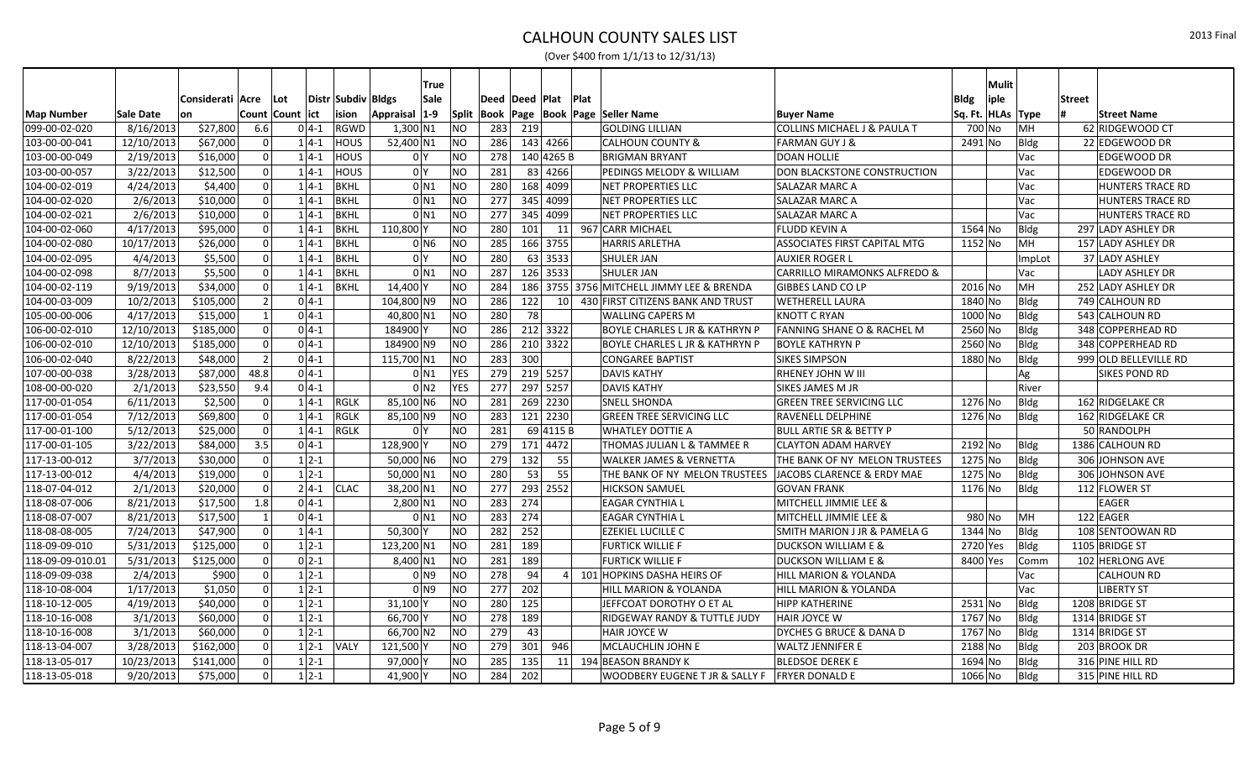|                   |            |                  |                          |                  |              |                    | True                 |            |                    |            |     |                 |                                                 |                                         |             | <b>Mulit</b> |        |               |                         |
|-------------------|------------|------------------|--------------------------|------------------|--------------|--------------------|----------------------|------------|--------------------|------------|-----|-----------------|-------------------------------------------------|-----------------------------------------|-------------|--------------|--------|---------------|-------------------------|
|                   |            | Considerati Acre |                          | ∣Lot             |              | Distr Subdiv Bldgs | Sale                 |            | Deed   Deed   Plat |            |     | Plat            |                                                 |                                         | <b>Bldg</b> | iple         |        | <b>Street</b> |                         |
| <b>Map Number</b> | Sale Date  | lon              |                          | Count Count lict |              | ision              | $ 1-9 $<br>Appraisal |            |                    |            |     |                 | Split   Book   Page   Book   Page   Seller Name | <b>Buyer Name</b>                       | Sq. Ft. I   | HLAs Type    |        |               | <b>Street Name</b>      |
| 099-00-02-020     | 8/16/2013  | \$27,800         | 6.6                      |                  | $0 4-1 $     | RGWD               | $1,300$ N1           | <b>NO</b>  | 283                | 219        |     |                 | <b>GOLDING LILLIAN</b>                          | COLLINS MICHAEL J & PAULA T             | 700 No      |              | MH     |               | 62 RIDGEWOOD CT         |
| 103-00-00-041     | 12/10/2013 | \$67,000         |                          |                  | $1 4-1$      | <b>HOUS</b>        | 52,400 N1            | <b>NO</b>  | 286                | 143 4266   |     |                 | <b>CALHOUN COUNTY &amp;</b>                     | <b>FARMAN GUY J &amp;</b>               | 2491 No     |              | Bldg   |               | 22 EDGEWOOD DR          |
| 103-00-00-049     | 2/19/2013  | \$16,000         |                          |                  | $1 4-1$      | <b>HOUS</b>        | 0 <sup>N</sup>       | <b>NO</b>  | 278                | 140 4265 B |     |                 | <b>BRIGMAN BRYANT</b>                           | <b>DOAN HOLLIE</b>                      |             |              | Vac    |               | EDGEWOOD DR             |
| 103-00-00-057     | 3/22/2013  | \$12,500         |                          |                  | $1 4-1$      | <b>HOUS</b>        | 0 <sup>1</sup>       | NO         | 281                | 83 4266    |     |                 | PEDINGS MELODY & WILLIAM                        | DON BLACKSTONE CONSTRUCTION             |             |              | Vac    |               | <b>EDGEWOOD DR</b>      |
| 104-00-02-019     | 4/24/2013  | \$4,400          |                          |                  | $1 4-1 $     | BKHL               | 0 N1                 | <b>NO</b>  | 280                | 168 4099   |     |                 | NET PROPERTIES LLC                              | SALAZAR MARC A                          |             |              | Vac    |               | <b>HUNTERS TRACE RD</b> |
| 104-00-02-020     | 2/6/2013   | \$10,000         |                          |                  | $1 4-1$      | <b>BKHL</b>        | 0 N1                 | <b>NO</b>  | 277                | 345 4099   |     |                 | <b>NET PROPERTIES LLC</b>                       | <b>SALAZAR MARC A</b>                   |             |              | Vac    |               | <b>HUNTERS TRACE RD</b> |
| 104-00-02-021     | 2/6/2013   | \$10,000         |                          |                  | $1 4-1 $     | BKHL               | $0$ N1               | <b>NO</b>  | 277                | 345 4099   |     |                 | <b>NET PROPERTIES LLC</b>                       | SALAZAR MARC A                          |             |              | Vac    |               | <b>HUNTERS TRACE RD</b> |
| 104-00-02-060     | 4/17/2013  | \$95,000         |                          |                  | $1 4-1 $     | BKHL               | 110,800              | ΝO         | 280                | 101        |     | 11              | 967 CARR MICHAEL                                | <b>FLUDD KEVIN A</b>                    | 1564 No     |              | Bldg   |               | 297 LADY ASHLEY DR      |
| 104-00-02-080     | 10/17/2013 | \$26,000         |                          |                  | $1 4-1 $     | <b>BKHL</b>        | $0$ N <sub>6</sub>   | <b>NO</b>  | 285                | 166 3755   |     |                 | <b>HARRIS ARLETHA</b>                           | <b>ASSOCIATES FIRST CAPITAL MTG</b>     | 1152 No     |              | MН     |               | 157 LADY ASHLEY DR      |
| 104-00-02-095     | 4/4/2013   | \$5,500          |                          |                  | $1 4-1 $     | BKHL               | 0 <sup>1</sup>       | <b>NO</b>  | 280                | 63 3533    |     |                 | <b>SHULER JAN</b>                               | <b>AUXIER ROGER L</b>                   |             |              | ImpLot |               | 37 LADY ASHLEY          |
| 104-00-02-098     | 8/7/2013   | \$5,500          |                          |                  | $1 4-1$      | BKHL               | $0$ <sub>N1</sub>    | NO         | 287                | 126 3533   |     |                 | <b>SHULER JAN</b>                               | <b>CARRILLO MIRAMONKS ALFREDO &amp;</b> |             |              | Vac    |               | LADY ASHLEY DR          |
| 104-00-02-119     | 9/19/2013  | \$34,000         |                          |                  | $1 4-1$      | BKHL               | 14,400               | NO         | 284                |            |     |                 | 186 3755 3756 MITCHELL JIMMY LEE & BRENDA       | <b>GIBBES LAND CO LP</b>                | 2016 No     |              | MH     |               | 252 LADY ASHLEY DR      |
| 104-00-03-009     | 10/2/2013  | \$105,000        |                          |                  | $0 4-1 $     |                    | 104,800 N9           | <b>NO</b>  | 286                | 122        |     | 10 <sup>1</sup> | 430 FIRST CITIZENS BANK AND TRUST               | <b>WETHERELL LAURA</b>                  | 1840 No     |              | Bldg   |               | 749 CALHOUN RD          |
| 105-00-00-006     | 4/17/2013  | \$15,000         |                          |                  | $0 4-1 $     |                    | 40,800 N1            | NO         | 280                | 78         |     |                 | <b>WALLING CAPERS M</b>                         | <b>KNOTT C RYAN</b>                     | 1000 No     |              | Bldg   |               | 543 CALHOUN RD          |
| 106-00-02-010     | 12/10/2013 | \$185,000        |                          |                  | $0 4-1$      |                    | 184900               | <b>NO</b>  | 286                | 212 3322   |     |                 | <b>BOYLE CHARLES L JR &amp; KATHRYN P</b>       | <b>FANNING SHANE O &amp; RACHEL M</b>   | 2560 No     |              | Bldg   |               | 348 COPPERHEAD RD       |
| 106-00-02-010     | 12/10/2013 | \$185,000        |                          |                  | $0 4-1$      |                    | 184900 N9            | <b>NO</b>  | 286                | 210 3322   |     |                 | <b>BOYLE CHARLES L JR &amp; KATHRYN P</b>       | <b>BOYLE KATHRYN P</b>                  | $2560$ No   |              | Bldg   |               | 348 COPPERHEAD RD       |
| 106-00-02-040     | 8/22/2013  | \$48,000         | $\overline{\phantom{0}}$ |                  | $0 4-1$      |                    | 115,700 N1           | <b>NO</b>  | 283                | 300        |     |                 | <b>CONGAREE BAPTIST</b>                         | <b>SIKES SIMPSON</b>                    | 1880 No     |              | Bldg   |               | 999 OLD BELLEVILLE RD   |
| 107-00-00-038     | 3/28/2013  | \$87,000         | 48.8                     |                  | $0 4-1 $     |                    | 0 N1                 | <b>YES</b> | 279                | 219 5257   |     |                 | <b>DAVIS KATHY</b>                              | RHENEY JOHN W III                       |             |              | Ag     |               | <b>SIKES POND RD</b>    |
| 108-00-00-020     | 2/1/2013   | \$23,550         | 9.4                      |                  | $0 4-1$      |                    | $0$ N <sub>2</sub>   | <b>YES</b> | 277                | 297 5257   |     |                 | <b>DAVIS KATHY</b>                              | SIKES JAMES M JR                        |             |              | River  |               |                         |
| 117-00-01-054     | 6/11/2013  | \$2,500          |                          |                  | $1 4-1$      | RGLK               | 85,100 N6            | NO.        | 281                | 269 2230   |     |                 | <b>SNELL SHONDA</b>                             | <b>GREEN TREE SERVICING LLC</b>         | 1276 No     |              | Bldg   |               | 162 RIDGELAKE CR        |
| 117-00-01-054     | 7/12/2013  | \$69,800         |                          |                  | $1 4-1 $     | <b>RGLK</b>        | 85,100 N9            | <b>NO</b>  | 283                | 121 2230   |     |                 | <b>GREEN TREE SERVICING LLC</b>                 | RAVENELL DELPHINE                       | 1276 No     |              | Bldg   |               | 162 RIDGELAKE CR        |
| 117-00-01-100     | 5/12/2013  | \$25,000         |                          |                  | $1 4-1 $     | <b>RGLK</b>        | 0 <sup>1</sup>       | NO         | 281                | 69 4115 B  |     |                 | <b>WHATLEY DOTTIE A</b>                         | <b>BULL ARTIE SR &amp; BETTY P</b>      |             |              |        |               | 50 RANDOLPH             |
| 117-00-01-105     | 3/22/2013  | \$84,000         | 3.5                      |                  | $0 4-1$      |                    | 128,900              | NO.        | 279                | 171 4472   |     |                 | THOMAS JULIAN L & TAMMEE R                      | <b>CLAYTON ADAM HARVEY</b>              | 2192 No     |              | Bldg   |               | 1386 CALHOUN RD         |
| 117-13-00-012     | 3/7/2013   | \$30,000         |                          |                  | $1 2-1 $     |                    | $50,000$ N6          | ΝO         | 279                | 132        | 55  |                 | <b>WALKER JAMES &amp; VERNETTA</b>              | THE BANK OF NY MELON TRUSTEES           | 1275 No     |              | Bldg   |               | 306 JOHNSON AVE         |
| 117-13-00-012     | 4/4/2013   | \$19,000         | U                        |                  | $1 2-1$      |                    | 50,000 N1            | <b>NO</b>  | 280                | 53         |     | 55              | THE BANK OF NY MELON TRUSTEES                   | JACOBS CLARENCE & ERDY MAE              | 1275 No     |              | Bldg   |               | 306 JOHNSON AVE         |
| 118-07-04-012     | 2/1/2013   | \$20,000         |                          |                  | $2 4-1 $     | <b>CLAC</b>        | 38,200 N1            | <b>NO</b>  | 277                | 293 2552   |     |                 | <b>HICKSON SAMUEL</b>                           | <b>GOVAN FRANK</b>                      | 1176 No     |              | Bldg   |               | 112 FLOWER ST           |
| 118-08-07-006     | 8/21/2013  | \$17,500         | 1.8                      |                  | $0 4-1$      |                    | $2,800$ N1           | <b>NO</b>  | 283                | 274        |     |                 | <b>EAGAR CYNTHIA L</b>                          | MITCHELL JIMMIE LEE &                   |             |              |        |               | <b>EAGER</b>            |
| 118-08-07-007     | 8/21/2013  | \$17,500         |                          |                  | $0 4-1 $     |                    | $0$ N <sub>1</sub>   | <b>NO</b>  | 283                | 274        |     |                 | <b>EAGAR CYNTHIA L</b>                          | MITCHELL JIMMIE LEE &                   | 980 No      |              | MH     |               | 122 EAGER               |
| 118-08-08-005     | 7/24/2013  | \$47,900         |                          |                  | $1 4-1 $     |                    | 50,300               | NO         | 282                | 252        |     |                 | <b>EZEKIEL LUCILLE C</b>                        | SMITH MARION J JR & PAMELA G            | 1344 No     |              | Bldg   |               | 108 SENTOOWAN RD        |
| 118-09-09-010     | 5/31/2013  | \$125,000        |                          |                  | $1 2-1$      |                    | 123,200 N1           | <b>NO</b>  | 281                | 189        |     |                 | <b>FURTICK WILLIE F</b>                         | DUCKSON WILLIAM E &                     | 2720 Yes    |              | Bldg   |               | 1105 BRIDGE ST          |
| 118-09-09-010.01  | 5/31/2013  | \$125,000        |                          |                  | $0 2-1$      |                    | 8,400 N1             | <b>NO</b>  | 281                | 189        |     |                 | <b>FURTICK WILLIE F</b>                         | <b>DUCKSON WILLIAM E &amp;</b>          | 8400 Yes    |              | Comm   |               | $102$ HERLONG AVE       |
| 118-09-09-038     | 2/4/2013   | \$900            |                          |                  | $1 2-1 $     |                    | 0 N9                 | ΝO         | 278                | 94         |     |                 | 4 101 HOPKINS DASHA HEIRS OF                    | HILL MARION & YOLANDA                   |             |              | Vac    |               | <b>CALHOUN RD</b>       |
| 118-10-08-004     | 1/17/2013  | \$1,050          |                          |                  | $1 2-1$      |                    | 0 N9                 | <b>NO</b>  | 277                | 202        |     |                 | HILL MARION & YOLANDA                           | HILL MARION & YOLANDA                   |             |              | Vac    |               | <b>LIBERTY ST</b>       |
| 118-10-12-005     | 4/19/2013  | \$40,000         |                          |                  | $1 2-1$      |                    | 31,100               | NO         | 280                | 125        |     |                 | JEFFCOAT DOROTHY O ET AL                        | <b>HIPP KATHERINE</b>                   | 2531 No     |              | Bldg   |               | 1208 BRIDGE ST          |
| 118-10-16-008     | 3/1/2013   | \$60,000         |                          |                  | $1 2-1$      |                    | 66,700               | <b>NO</b>  | 278                | 189        |     |                 | RIDGEWAY RANDY & TUTTLE JUDY                    | HAIR JOYCE W                            | 1767 No     |              | Bldg   |               | 1314 BRIDGE ST          |
| 118-10-16-008     | 3/1/2013   | \$60,000         |                          |                  | $1 \, 2 - 1$ |                    | 66,700 N2            | ΝO         | 279                | 43         |     |                 | HAIR JOYCE W                                    | DYCHES G BRUCE & DANA D                 | 1767 No     |              | Bldg   |               | 1314 BRIDGE ST          |
| 118-13-04-007     | 3/28/2013  | \$162,000        |                          |                  | $1 2-1 $     | <b>VALY</b>        | 121,500              | NO         | 279                | 301        | 946 |                 | MCLAUCHLIN JOHN E                               | <b>WALTZ JENNIFER E</b>                 | 2188 No     |              | Bldg   |               | 203 BROOK DR            |
| 118-13-05-017     | 10/23/2013 | \$141,000        |                          |                  | $1 \, 2 - 1$ |                    | 97,000               | NO         | 285                | 135        |     |                 | 11 194 BEASON BRANDY K                          | <b>BLEDSOE DEREK E</b>                  | 1694 No     |              | Bldg   |               | 316 PINE HILL RD        |
| 118-13-05-018     | 9/20/2013  | \$75,000         | U                        |                  | $1 2-1$      |                    | 41,900 Y             | <b>NO</b>  | 284                | 202        |     |                 | WOODBERY EUGENE T JR & SALLY F                  | <b>FRYER DONALD E</b>                   | 1066 No     |              | Bldg   |               | 315 PINE HILL RD        |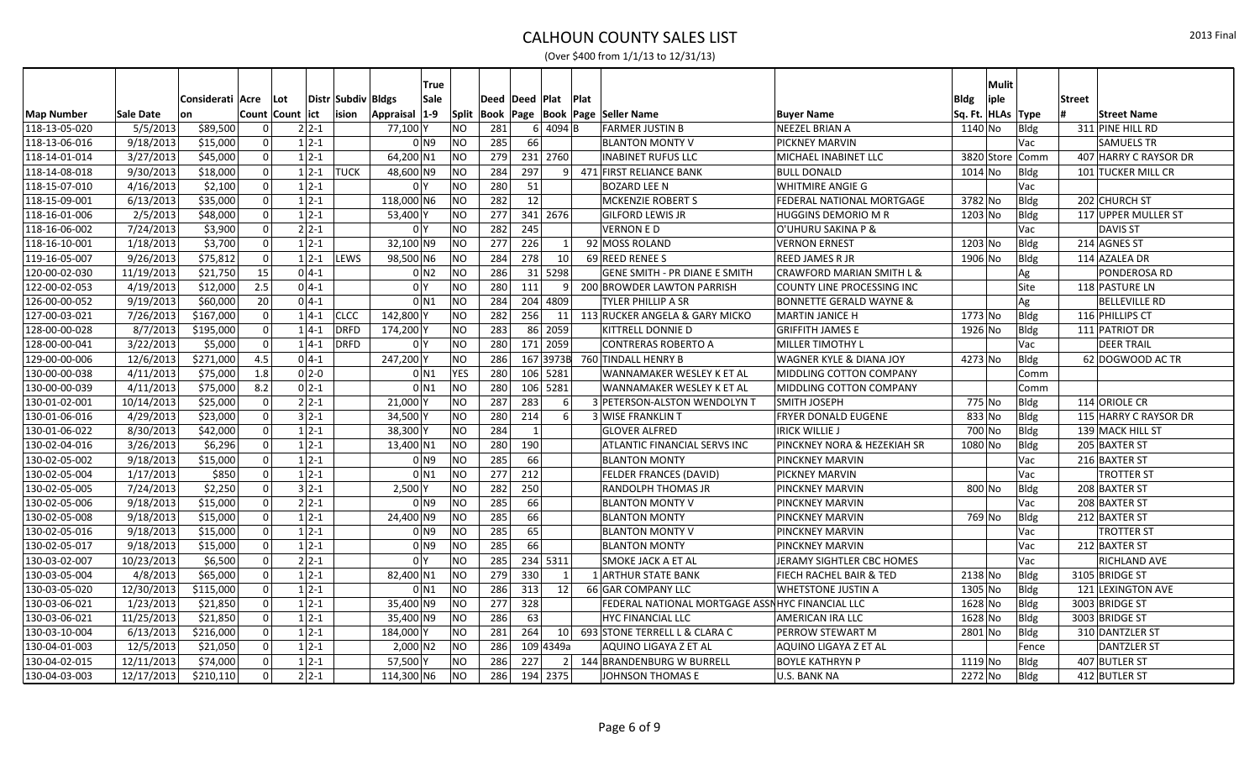|                   |            |                  |          |                  |              |                    | <b>True</b>                |                |                |                |                 |                                                 |                                      |                   | <b>Mulit</b> |                 |               |                       |
|-------------------|------------|------------------|----------|------------------|--------------|--------------------|----------------------------|----------------|----------------|----------------|-----------------|-------------------------------------------------|--------------------------------------|-------------------|--------------|-----------------|---------------|-----------------------|
|                   |            | Considerati Acre |          | l Lot            |              | Distr Subdiv Bldgs | Sale                       |                | Deed Deed Plat |                |                 | <b>Plat</b>                                     |                                      | Bldg              | iple         |                 | <b>Street</b> |                       |
| <b>Map Number</b> | Sale Date  | lon              |          | Count Count lict |              | ision              | Appraisal 1-9              |                |                |                |                 | Split   Book   Page   Book   Page   Seller Name | <b>Buyer Name</b>                    | Sq. Ft. HLAs Type |              |                 |               | <b>Street Name</b>    |
| 118-13-05-020     | 5/5/2013   | \$89,500         |          |                  | $2 2-1 $     |                    | 77,100 Y                   | NO             | 281            |                | 6 4094 B        | <b>FARMER JUSTIN B</b>                          | <b>NEEZEL BRIAN A</b>                | 1140 No           |              | Bldg            |               | 311 PINE HILL RD      |
| 118-13-06-016     | 9/18/2013  | \$15,000         |          |                  | $1 2-1$      |                    | 0 <sub>N9</sub>            | NO             | 285            | 66             |                 | <b>BLANTON MONTY V</b>                          | <b>PICKNEY MARVIN</b>                |                   |              | Vac             |               | <b>SAMUELS TR</b>     |
| 118-14-01-014     | 3/27/2013  | \$45,000         |          |                  | $1 2-1$      |                    | 64,200 N1                  | NO             | 279            |                | 231 2760        | <b>INABINET RUFUS LLC</b>                       | MICHAEL INABINET LLC                 |                   |              | 3820 Store Comm |               | 407 HARRY C RAYSOR DR |
| 118-14-08-018     | 9/30/2013  | \$18,000         | $\Omega$ |                  |              | $1 2-1$ TUCK       | 48,600 N9                  | NO             | 284            | 297            | 9               | 471 FIRST RELIANCE BANK                         | <b>BULL DONALD</b>                   | $1014$ No         |              | Bldg            |               | 101 TUCKER MILL CR    |
| 118-15-07-010     | 4/16/2013  | \$2,100          |          |                  | $1 2-1$      |                    | 0 <sup>1</sup>             | N              | 280            | 51             |                 | <b>BOZARD LEE N</b>                             | <b>WHITMIRE ANGIE G</b>              |                   |              | Vac             |               |                       |
| 118-15-09-001     | 6/13/2013  | \$35,000         |          |                  | $1 2-1$      |                    | 118,000 N6                 | NO             | 282            | 12             |                 | <b>MCKENZIE ROBERT S</b>                        | <b>FEDERAL NATIONAL MORTGAGE</b>     | 3782 No           |              | Bldg            |               | 202 CHURCH ST         |
| 118-16-01-006     | 2/5/2013   | \$48,000         |          |                  | $1 2-1$      |                    | 53,400                     | N <sub>O</sub> | 277            |                | 341 2676        | <b>GILFORD LEWIS JR</b>                         | <b>HUGGINS DEMORIO M R</b>           | $1203$ No         |              | Bldg            |               | 117 UPPER MULLER ST   |
| 118-16-06-002     | 7/24/2013  | \$3,900          | U        |                  | $2 2-1 $     |                    | 0 <sup>1</sup>             | <b>NO</b>      | 282            | 245            |                 | <b>VERNON E D</b>                               | O'UHURU SAKINA P &                   |                   |              | Vac             |               | <b>DAVIS ST</b>       |
| 118-16-10-001     | 1/18/2013  | \$3,700          |          |                  | $1 2-1 $     |                    | $32,100$ N9                | N <sub>O</sub> | 277            | 226            |                 | 92 MOSS ROLAND                                  | <b>VERNON ERNEST</b>                 | 1203 No           |              | Bldg            |               | 214 AGNES ST          |
| 119-16-05-007     | 9/26/2013  | \$75,812         |          |                  | $1 2-1$      | <b>LEWS</b>        | 98,500 N6                  | N <sub>O</sub> | 284            | 278            | 10 <sup>1</sup> | 69 REED RENEE S                                 | <b>REED JAMES R JR</b>               | 1906 No           |              | Bldg            |               | 114 AZALEA DR         |
| 120-00-02-030     | 11/19/2013 | \$21,750         | 15       |                  | $0 4-1$      |                    | $0 \overline{\mathsf{N2}}$ | NO             | 286            |                | $31$ 5298       | <b>GENE SMITH - PR DIANE E SMITH</b>            | <b>CRAWFORD MARIAN SMITH L &amp;</b> |                   |              | Ag              |               | PONDEROSA RD          |
| 122-00-02-053     | 4/19/2013  | \$12,000         | 2.5      |                  | $0 4-1 $     |                    | 0 <sup>Y</sup>             | N <sub>O</sub> | 280            | 111            | 9 <sup>1</sup>  | 200 BROWDER LAWTON PARRISH                      | COUNTY LINE PROCESSING INC           |                   |              | Site            |               | 118 PASTURE LN        |
| 126-00-00-052     | 9/19/2013  | \$60,000         | 20       |                  | $0 4-1 $     |                    | $0$ <sub>N1</sub>          | <b>NO</b>      | 284            |                | 204 4809        | <b>TYLER PHILLIP A SR</b>                       | <b>BONNETTE GERALD WAYNE &amp;</b>   |                   |              | Ag              |               | <b>BELLEVILLE RD</b>  |
| 127-00-03-021     | 7/26/2013  | \$167,000        |          |                  | $1 4-1 $     | <b>CLCC</b>        | 142,800                    | N <sub>O</sub> | 282            | 256            |                 | 11 113 RUCKER ANGELA & GARY MICKO               | <b>MARTIN JANICE H</b>               | 1773 No           |              | Bldg            |               | 116 PHILLIPS CT       |
| 128-00-00-028     | 8/7/2013   | \$195,000        | $\Omega$ |                  | $1 4-1$      | <b>DRFD</b>        | 174,200 Y                  | N <sub>O</sub> | 283            |                | 86 2059         | <b>KITTRELL DONNIE D</b>                        | <b>GRIFFITH JAMES E</b>              | 1926 No           |              | Bldg            |               | 111 PATRIOT DR        |
| 128-00-00-041     | 3/22/2013  | \$5,000          |          |                  | $1 4-1$      | DRFD               | 0 <sup>1</sup>             | <b>NO</b>      | 280            |                | 171 2059        | <b>CONTRERAS ROBERTO A</b>                      | <b>MILLER TIMOTHY L</b>              |                   |              | Vac             |               | <b>DEER TRAIL</b>     |
| 129-00-00-006     | 12/6/2013  | \$271,000        | 4.5      |                  | $0 4-1 $     |                    | 247,200Y                   | NO             | 286            |                |                 | 167 3973B 760 TINDALL HENRY B                   | <b>WAGNER KYLE &amp; DIANA JOY</b>   | 4273 No           |              | Bldg            |               | 62 DOGWOOD AC TR      |
| 130-00-00-038     | 4/11/2013  | \$75,000         | 1.8      |                  | $0 2-0$      |                    | 0 N1                       | <b>YES</b>     | 280            |                | 106 5281        | WANNAMAKER WESLEY K ET AL                       | MIDDLING COTTON COMPANY              |                   |              | Comm            |               |                       |
| 130-00-00-039     | 4/11/2013  | \$75,000         | 8.2      |                  | $0 2-1 $     |                    | $0$ N <sub>1</sub>         | NO             | 280            |                | 106 5281        | WANNAMAKER WESLEY K ET AL                       | <b>MIDDLING COTTON COMPANY</b>       |                   |              | Comm            |               |                       |
| 130-01-02-001     | 10/14/2013 | \$25,000         | $\Omega$ |                  | $2 2-1 $     |                    | $21,000$ Y                 | NO             | 287            | 283            | <sup>6</sup>    | 3 PETERSON-ALSTON WENDOLYN T                    | <b>SMITH JOSEPH</b>                  | 775 No            |              | Bldg            |               | 114 ORIOLE CR         |
| 130-01-06-016     | 4/29/2013  | \$23,000         | $\Omega$ |                  | $3 2-1 $     |                    | 34,500 Y                   | NO             | 280            | 214            | 6 <sup>1</sup>  | <b>3 WISE FRANKLIN T</b>                        | <b>FRYER DONALD EUGENE</b>           | 833 No            |              | Bldg            |               | 115 HARRY C RAYSOR DR |
| 130-01-06-022     | 8/30/2013  | \$42,000         |          |                  | $1 2-1$      |                    | 38,300                     | NO             | 284            | $\overline{1}$ |                 | <b>GLOVER ALFRED</b>                            | <b>IRICK WILLIE J</b>                | 700 No            |              | Bldg            |               | 139 MACK HILL ST      |
| 130-02-04-016     | 3/26/2013  | \$6,296          | $\Omega$ |                  | $1 2-1$      |                    | 13,400 N1                  | NO             | 280            | 190            |                 | <b>ATLANTIC FINANCIAL SERVS INC</b>             | PINCKNEY NORA & HEZEKIAH SR          | 1080 No           |              | Bldg            |               | 205 BAXTER ST         |
| 130-02-05-002     | 9/18/2013  | \$15,000         | U        |                  | $1 \, 2 - 1$ |                    | 0 N9                       | NO             | 285            | 66             |                 | <b>BLANTON MONTY</b>                            | <b>PINCKNEY MARVIN</b>               |                   |              | Vac             |               | 216 BAXTER ST         |
| 130-02-05-004     | 1/17/2013  | \$850            | $\Omega$ |                  | $1 2-1$      |                    | $0$ N <sub>1</sub>         | NO             | 277            | 212            |                 | <b>FELDER FRANCES (DAVID)</b>                   | <b>PICKNEY MARVIN</b>                |                   |              | Vac             |               | <b>TROTTER ST</b>     |
| 130-02-05-005     | 7/24/2013  | \$2,250          |          |                  | $3 2-1 $     |                    | 2.500                      | NO             | 282            | 250            |                 | <b>RANDOLPH THOMAS JR</b>                       | <b>PINCKNEY MARVIN</b>               | 800 No            |              | Bldg            |               | 208 BAXTER ST         |
| 130-02-05-006     | 9/18/2013  | \$15,000         | $\Omega$ |                  | $2 2-1 $     |                    | 0 N9                       | <b>NO</b>      | 285            | 66             |                 | <b>BLANTON MONTY V</b>                          | <b>PINCKNEY MARVIN</b>               |                   |              | Vac             |               | 208 BAXTER ST         |
| 130-02-05-008     | 9/18/2013  | \$15,000         |          |                  | $1 2-1 $     |                    | 24,400 N9                  | NO             | 285            | 66             |                 | <b>BLANTON MONTY</b>                            | <b>PINCKNEY MARVIN</b>               | 769 No            |              | Bldg            |               | 212 BAXTER ST         |
| 130-02-05-016     | 9/18/2013  | \$15,000         | $\Omega$ |                  | $1 2-1 $     |                    | $0$ N <sub>9</sub>         | <b>NO</b>      | 285            | 65             |                 | <b>BLANTON MONTY V</b>                          | <b>PINCKNEY MARVIN</b>               |                   |              | Vac             |               | <b>TROTTER ST</b>     |
| 130-02-05-017     | 9/18/2013  | \$15,000         |          |                  | $1 2-1 $     |                    | 0 N9                       | NO             | 285            | 66             |                 | <b>BLANTON MONTY</b>                            | <b>PINCKNEY MARVIN</b>               |                   |              | Vac             |               | 212 BAXTER ST         |
| 130-03-02-007     | 10/23/2013 | \$6,500          | $\Omega$ |                  | $2 2-1 $     |                    | 0 <sup>1</sup>             | <b>NO</b>      | 285            |                | 234 5311        | <b>SMOKE JACK A ET AL</b>                       | JERAMY SIGHTLER CBC HOMES            |                   |              | Vac             |               | RICHLAND AVE          |
| 130-03-05-004     | 4/8/2013   | \$65,000         |          |                  | $1 2-1 $     |                    | 82,400 N1                  | NO             | 279            | 330            | 1               | <b>1 ARTHUR STATE BANK</b>                      | FIECH RACHEL BAIR & TED              | 2138 No           |              | Bldg            |               | 3105 BRIDGE ST        |
| 130-03-05-020     | 12/30/2013 | \$115,000        | $\Omega$ |                  | $1 2-1$      |                    | $0$ N <sub>1</sub>         | NO             | 286            | 313            | 12              | 66 GAR COMPANY LLC                              | <b>WHETSTONE JUSTIN A</b>            | 1305 No           |              | Bldg            |               | 121 LEXINGTON AVE     |
| 130-03-06-021     | 1/23/2013  | \$21,850         |          |                  | $1 2-1 $     |                    | 35,400 N9                  | NO             | 277            | 328            |                 | FEDERAL NATIONAL MORTGAGE ASSNHYC FINANCIAL LLC |                                      | 1628 No           |              | Bldg            |               | 3003 BRIDGE ST        |
| 130-03-06-021     | 11/25/2013 | \$21,850         | $\Omega$ |                  | $1 2-1$      |                    | 35,400 N9                  | NO             | 286            | 63             |                 | <b>HYC FINANCIAL LLC</b>                        | <b>AMERICAN IRA LLC</b>              | $1628$ No         |              | Bldg            |               | 3003 BRIDGE ST        |
| 130-03-10-004     | 6/13/2013  | \$216,000        |          |                  | $1 2-1 $     |                    | 184,000                    | <b>NO</b>      | 281            | 264            |                 | 10 693 STONE TERRELL L & CLARA C                | <b>PERROW STEWART M</b>              | 2801 No           |              | Bldg            |               | 310 DANTZLER ST       |
| 130-04-01-003     | 12/5/2013  | \$21,050         |          |                  | $1 2-1 $     |                    | $2,000 \, \text{N2}$       | <b>NO</b>      | 286            |                | 109 4349a       | AQUINO LIGAYA Z ET AL                           | AQUINO LIGAYA Z ET AL                |                   |              | Fence           |               | <b>DANTZLER ST</b>    |
| 130-04-02-015     | 12/11/2013 | \$74,000         |          |                  | $1 2-1$      |                    | 57,500                     | <b>NO</b>      | 286            | 227            |                 | 2 144 BRANDENBURG W BURRELL                     | <b>BOYLE KATHRYN P</b>               | 1119 No           |              | <b>Bldg</b>     |               | 407 BUTLER ST         |
| 130-04-03-003     | 12/17/2013 | \$210,110        |          |                  | $2 2-1 $     |                    | 114,300 N6                 | <b>NO</b>      | 286            |                | 194 2375        | JOHNSON THOMAS E                                | U.S. BANK NA                         | 2272 No           |              | Bldg            |               | 412 BUTLER ST         |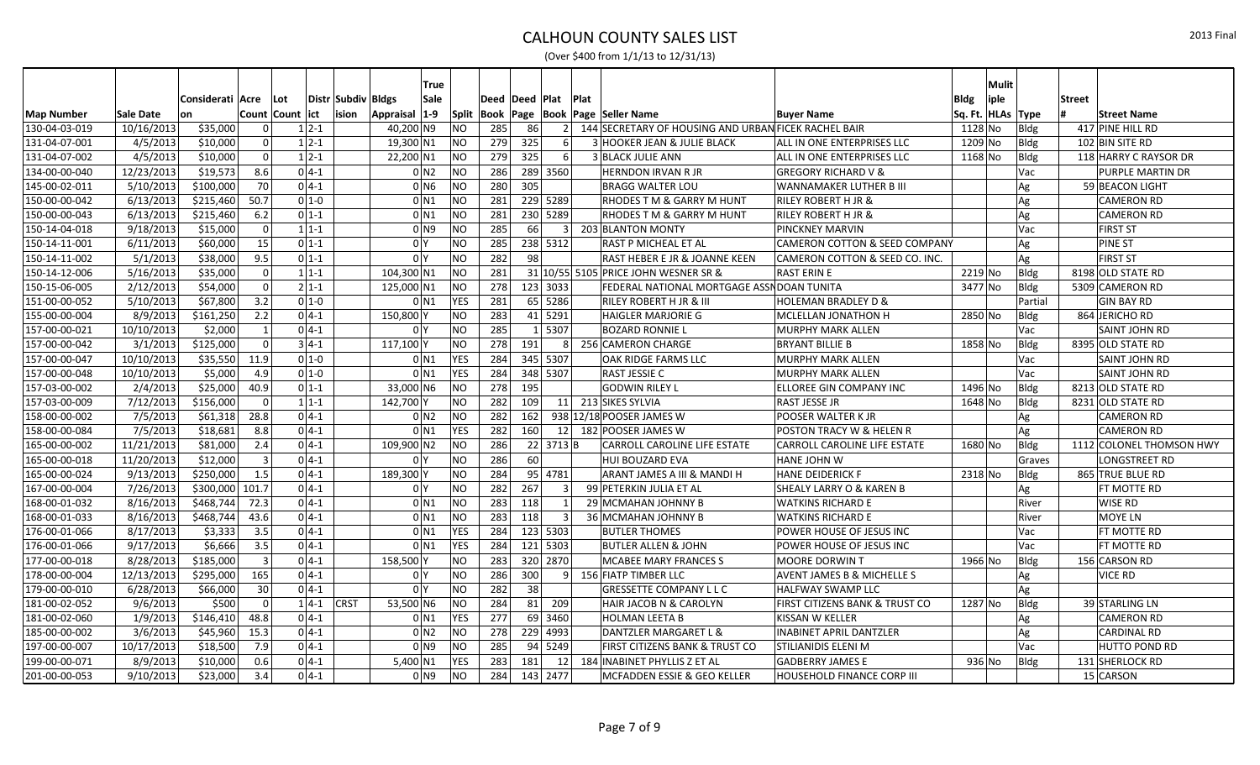|                   |            |                  |       |                  |          |                    | True               |            |                |     |                        |                |                                                      |                                          |                   | Mulit |             |               |                          |
|-------------------|------------|------------------|-------|------------------|----------|--------------------|--------------------|------------|----------------|-----|------------------------|----------------|------------------------------------------------------|------------------------------------------|-------------------|-------|-------------|---------------|--------------------------|
|                   |            | Considerati Acre |       | ∣Lot             |          | Distr Subdiv Bldgs | Sale               |            | Deed Deed Plat |     |                        | <b>Plat</b>    |                                                      |                                          | <b>Bldg</b>       | iple  |             | <b>Street</b> |                          |
| <b>Map Number</b> | Sale Date  | lon              |       | Count Count lict |          | ision              | $1-9$<br>Appraisal |            |                |     |                        |                | Split   Book   Page   Book   Page   Seller Name      | <b>Buyer Name</b>                        | Sq. Ft. HLAs Type |       |             |               | <b>Street Name</b>       |
| 130-04-03-019     | 10/16/2013 | \$35,000         |       | $\Omega$         | $1 2-1$  |                    | 40,200 N9          | <b>NO</b>  | 285            | 86  |                        | 2 <sup>1</sup> | 144 SECRETARY OF HOUSING AND URBAN FICEK RACHEL BAIR |                                          | 1128 No           |       | Bldg        |               | 417 PINE HILL RD         |
| 131-04-07-001     | 4/5/2013   | \$10,000         |       |                  | $1 2-1$  |                    | 19,300 N1          | NO         | 279            | 325 | $6 \mid$               |                | 3 HOOKER JEAN & JULIE BLACK                          | ALL IN ONE ENTERPRISES LLC               | 1209 No           |       | Bldg        |               | 102 BIN SITE RD          |
| 131-04-07-002     | 4/5/2013   | \$10,000         |       | $\Omega$         | $1 2-1$  |                    | 22,200 N1          | NO         | 279            | 325 | $6 \mid$               |                | <b>3 BLACK JULIE ANN</b>                             | ALL IN ONE ENTERPRISES LLC               | 1168 No           |       | Bldg        |               | 118 HARRY C RAYSOR DR    |
| 134-00-00-040     | 12/23/2013 | \$19,573         | 8.6   |                  | $0 4-1 $ |                    | 0 N2               | NO         | 286            |     | 289 3560               |                | <b>HERNDON IRVAN R JR</b>                            | <b>GREGORY RICHARD V &amp;</b>           |                   |       | Vac         |               | PURPLE MARTIN DR         |
| 145-00-02-011     | 5/10/2013  | \$100,000        | 70    |                  | $0 4-1 $ |                    | $0$ N <sub>6</sub> | <b>NO</b>  | 280            | 305 |                        |                | <b>BRAGG WALTER LOU</b>                              | WANNAMAKER LUTHER B III                  |                   |       | Ag          |               | 59 BEACON LIGHT          |
| 150-00-00-042     | 6/13/2013  | \$215,460        | 50.7  |                  | $0 1-0$  |                    | 0 N1               | NO         | 281            |     | 229 5289               |                | RHODES T M & GARRY M HUNT                            | <b>RILEY ROBERT H JR &amp;</b>           |                   |       | Ag          |               | <b>CAMERON RD</b>        |
| 150-00-00-043     | 6/13/2013  | \$215,460        | 6.2   |                  | $0 1-1 $ |                    | 0 N1               | NO         | 281            |     | 230 5289               |                | <b>RHODES T M &amp; GARRY M HUNT</b>                 | <b>RILEY ROBERT H JR &amp;</b>           |                   |       | Ag          |               | <b>CAMERON RD</b>        |
| 150-14-04-018     | 9/18/2013  | \$15,000         |       | $\Omega$         | $1 1-1 $ |                    | 0 N9               | <b>NO</b>  | 285            | 66  |                        | 3 <sup>1</sup> | 203 BLANTON MONTY                                    | <b>PINCKNEY MARVIN</b>                   |                   |       | Vac         |               | <b>FIRST ST</b>          |
| 150-14-11-001     | 6/11/2013  | \$60,000         | 15    |                  | $0 1-1 $ |                    | 0 <sup>1</sup>     | NO         | 285            |     | 238 5312               |                | RAST P MICHEAL ET AL                                 | <b>CAMERON COTTON &amp; SEED COMPANY</b> |                   |       | Ag          |               | PINE ST                  |
| 150-14-11-002     | 5/1/2013   | \$38,000         | 9.5   |                  | $0 1-1 $ |                    | 0 I Y              | <b>NO</b>  | 282            | 98  |                        |                | RAST HEBER E JR & JOANNE KEEN                        | CAMERON COTTON & SEED CO. INC.           |                   |       | Ag          |               | <b>FIRST ST</b>          |
| 150-14-12-006     | 5/16/2013  | \$35,000         |       | $\Omega$         | $1 1-1$  |                    | 104,300 N1         | NO         | 281            |     |                        |                | 31 10/55 5105 PRICE JOHN WESNER SR &                 | <b>RAST ERIN E</b>                       | 2219 No           |       | Bldg        |               | 8198 OLD STATE RD        |
| 150-15-06-005     | 2/12/2013  | \$54,000         |       | $\Omega$         | $2 1-1 $ |                    | 125,000 N1         | NO         | 278            |     | 123 3033               |                | FEDERAL NATIONAL MORTGAGE ASSN DOAN TUNITA           |                                          | 3477 No           |       | Bldg        |               | 5309 CAMERON RD          |
| 151-00-00-052     | 5/10/2013  | \$67,800         | 3.2   |                  | $0 1-0$  |                    | 0 N1               | <b>YES</b> | 281            |     | 65 5286                |                | <b>RILEY ROBERT H JR &amp; III</b>                   | <b>HOLEMAN BRADLEY D &amp;</b>           |                   |       | Partial     |               | <b>GIN BAY RD</b>        |
| 155-00-00-004     | 8/9/2013   | \$161,250        | 2.2   |                  | $0 4-1$  |                    | 150,800            | NO         | 283            |     | 41 5291                |                | <b>HAIGLER MARJORIE G</b>                            | MCLELLAN JONATHON H                      | 2850 No           |       | Bldg        |               | 864 JERICHO RD           |
| 157-00-00-021     | 10/10/2013 | \$2,000          |       |                  | $0 4-1 $ |                    | 0 <sup>Y</sup>     | <b>NO</b>  | 285            |     | 1 5307                 |                | <b>BOZARD RONNIE L</b>                               | <b>MURPHY MARK ALLEN</b>                 |                   |       | Vac         |               | <b>SAINT JOHN RD</b>     |
| 157-00-00-042     | 3/1/2013   | \$125,000        |       |                  | $3 4-1$  |                    | 117,100            | <b>NO</b>  | 278            | 191 |                        | $\mathsf{R}$   | 256 CAMERON CHARGE                                   | <b>BRYANT BILLIE B</b>                   | 1858 No           |       | Bldg        |               | 8395 OLD STATE RD        |
| 157-00-00-047     | 10/10/2013 | \$35,550         | 11.9  |                  | $0 1-0$  |                    | $0$ N1             | <b>YES</b> | 284            |     | 345 5307               |                | OAK RIDGE FARMS LLC                                  | <b>MURPHY MARK ALLEN</b>                 |                   |       | Vac         |               | <b>SAINT JOHN RD</b>     |
| 157-00-00-048     | 10/10/2013 | \$5,000          | 4.9   |                  | $0 1-0$  |                    | 0 N1               | <b>YES</b> | 284            |     | $348 \overline{)5307}$ |                | RAST JESSIE C                                        | MURPHY MARK ALLEN                        |                   |       | Vac         |               | <b>SAINT JOHN RD</b>     |
| 157-03-00-002     | 2/4/2013   | \$25,000         | 40.9  |                  | $0 1-1$  |                    | 33,000 N6          | NO         | 278            | 195 |                        |                | <b>GODWIN RILEY L</b>                                | ELLOREE GIN COMPANY INC                  | 1496 No           |       | Bldg        |               | 8213 OLD STATE RD        |
| 157-03-00-009     | 7/12/2013  | \$156,000        |       | $\Omega$         | $1 1-1 $ |                    | 142,700            | NO         | 282            | 109 |                        |                | 11 213 SIKES SYLVIA                                  | RAST JESSE JR                            | 1648 No           |       | Bldg        |               | 8231 OLD STATE RD        |
| 158-00-00-002     | 7/5/2013   | \$61,318         | 28.8  |                  | $0 4-1 $ |                    | 0 N2               | NO         | 282            | 162 |                        |                | 938 12/18 POOSER JAMES W                             | POOSER WALTER K JR                       |                   |       | Ag          |               | <b>CAMERON RD</b>        |
| 158-00-00-084     | 7/5/2013   | \$18,681         | 8.8   |                  | $04-1$   |                    | $0$ N <sub>1</sub> | <b>YES</b> | 282            | 160 |                        |                | 12 182 POOSER JAMES W                                | POSTON TRACY W & HELEN R                 |                   |       | Ag          |               | <b>CAMERON RD</b>        |
| 165-00-00-002     | 11/21/2013 | \$81,000         | 2.4   |                  | $0 4-1 $ |                    | 109,900 N2         | NO         | 286            |     | $22 \mid 3713 \mid B$  |                | <b>CARROLL CAROLINE LIFE ESTATE</b>                  | <b>CARROLL CAROLINE LIFE ESTATE</b>      | 1680 No           |       | Bldg        |               | 1112 COLONEL THOMSON HWY |
| 165-00-00-018     | 11/20/2013 | \$12,000         | 3     |                  | $0 4-1$  |                    | 0 <sup>1</sup>     | <b>NO</b>  | 286            | 60  |                        |                | <b>HUI BOUZARD EVA</b>                               | <b>HANE JOHN W</b>                       |                   |       | Graves      |               | LONGSTREET RD            |
| 165-00-00-024     | 9/13/2013  | \$250,000        | 1.5   |                  | $0 4-1 $ |                    | 189,300 Y          | NO         | 284            | 95  | 4781                   |                | ARANT JAMES A III & MANDI H                          | <b>HANE DEIDERICK F</b>                  | 2318 No           |       | Bldg        |               | 865 TRUE BLUE RD         |
| 167-00-00-004     | 7/26/2013  | \$300,000        | 101.7 |                  | $0 4-1 $ |                    | 0 <sup>1</sup>     | NO         | 282            | 267 | $\mathbf{3}$           |                | 99 PETERKIN JULIA ET AL                              | <b>SHEALY LARRY O &amp; KAREN B</b>      |                   |       | Ag          |               | FT MOTTE RD              |
| 168-00-01-032     | 8/16/2013  | \$468,744        | 72.3  |                  | $0 4-1$  |                    | 0 N1               | NO         | 283            | 118 |                        |                | 29 MCMAHAN JOHNNY B                                  | <b>WATKINS RICHARD E</b>                 |                   |       | River       |               | WISE RD                  |
| 168-00-01-033     | 8/16/2013  | \$468,744        | 43.6  |                  | $0 4-1 $ |                    | 0 N1               | NO         | 283            | 118 |                        |                | 36 MCMAHAN JOHNNY B                                  | <b>WATKINS RICHARD E</b>                 |                   |       | River       |               | MOYE LN                  |
| 176-00-01-066     | 8/17/2013  | \$3,333          | 3.5   |                  | $0 4-1$  |                    | $0$ N <sub>1</sub> | <b>YES</b> | 284            |     | 123 5303               |                | <b>BUTLER THOMES</b>                                 | <b>POWER HOUSE OF JESUS INC</b>          |                   |       | Vac         |               | <b>FT MOTTE RD</b>       |
| 176-00-01-066     | 9/17/2013  | \$6,666          | 3.5   |                  | $0 4-1 $ |                    | $0$ N <sub>1</sub> | <b>YES</b> | 284            |     | 121 5303               |                | BUTLER ALLEN & JOHN                                  | POWER HOUSE OF JESUS INC                 |                   |       | Vac         |               | FT MOTTE RD              |
| 177-00-00-018     | 8/28/2013  | \$185,000        | ∍     |                  | $0 4-1 $ |                    | 158,500            | <b>NO</b>  | 283            |     | 320 2870               |                | MCABEE MARY FRANCES S                                | MOORE DORWIN T                           | 1966 No           |       | Bldg        |               | 156 CARSON RD            |
| 178-00-00-004     | 12/13/2013 | \$295,000        | 165   |                  | $0 4-1$  |                    | 0 <sup>N</sup>     | <b>NO</b>  | 286            | 300 |                        | 91             | 156 FIATP TIMBER LLC                                 | <b>AVENT JAMES B &amp; MICHELLE S</b>    |                   |       | Ag          |               | <b>VICE RD</b>           |
| 179-00-00-010     | 6/28/2013  | \$66,000         | 30    |                  | $0 4-1 $ |                    | 0 <sup>1</sup>     | <b>NO</b>  | 282            | 38  |                        |                | <b>GRESSETTE COMPANY L L C</b>                       | <b>HALFWAY SWAMP LLC</b>                 |                   |       | Ag          |               |                          |
| 181-00-02-052     | 9/6/2013   | \$500            |       | $\Omega$         | $14-1$   | <b>CRST</b>        | 53,500 N6          | <b>NO</b>  | 284            | 81  | 209                    |                | HAIR JACOB N & CAROLYN                               | FIRST CITIZENS BANK & TRUST CO           | 1287 No           |       | Bldg        |               | 39 STARLING LN           |
| 181-00-02-060     | 1/9/2013   | \$146,410        | 48.8  |                  | $0 4-1$  |                    | $0$ N1             | <b>YES</b> | 277            | 69  | 3460                   |                | <b>HOLMAN LEETA B</b>                                | KISSAN W KELLER                          |                   |       | Ag          |               | <b>CAMERON RD</b>        |
| 185-00-00-002     | 3/6/2013   | \$45,960         | 15.3  |                  | $0 4-1 $ |                    | 0 N2               | <b>NO</b>  | 278            |     | 229 4993               |                | DANTZLER MARGARET L &                                | <b>INABINET APRIL DANTZLER</b>           |                   |       | Ag          |               | <b>CARDINAL RD</b>       |
| 197-00-00-007     | 10/17/2013 | \$18,500         | 7.9   |                  | $0 4-1 $ |                    | 0 N 9              | <b>NO</b>  | 285            |     | $94$ 5249              |                | <b>FIRST CITIZENS BANK &amp; TRUST CO</b>            | <b>STILIANIDIS ELENI M</b>               |                   |       | Vac         |               | HUTTO POND RD            |
| 199-00-00-071     | 8/9/2013   | \$10,000         | 0.6   |                  | $0 4-1 $ |                    | 5,400 N1           | <b>YES</b> | 283            | 181 | 12 <sup>1</sup>        |                | 184 INABINET PHYLLIS Z ET AL                         | <b>GADBERRY JAMES E</b>                  | 936 No            |       | <b>Bldg</b> |               | 131 SHERLOCK RD          |
| 201-00-00-053     | 9/10/2013  | \$23,000         | 3.4   |                  | $0 4-1 $ |                    | 0 N9               | <b>NO</b>  | 284            |     | 143 2477               |                | MCFADDEN ESSIE & GEO KELLER                          | <b>HOUSEHOLD FINANCE CORP III</b>        |                   |       |             |               | 15 CARSON                |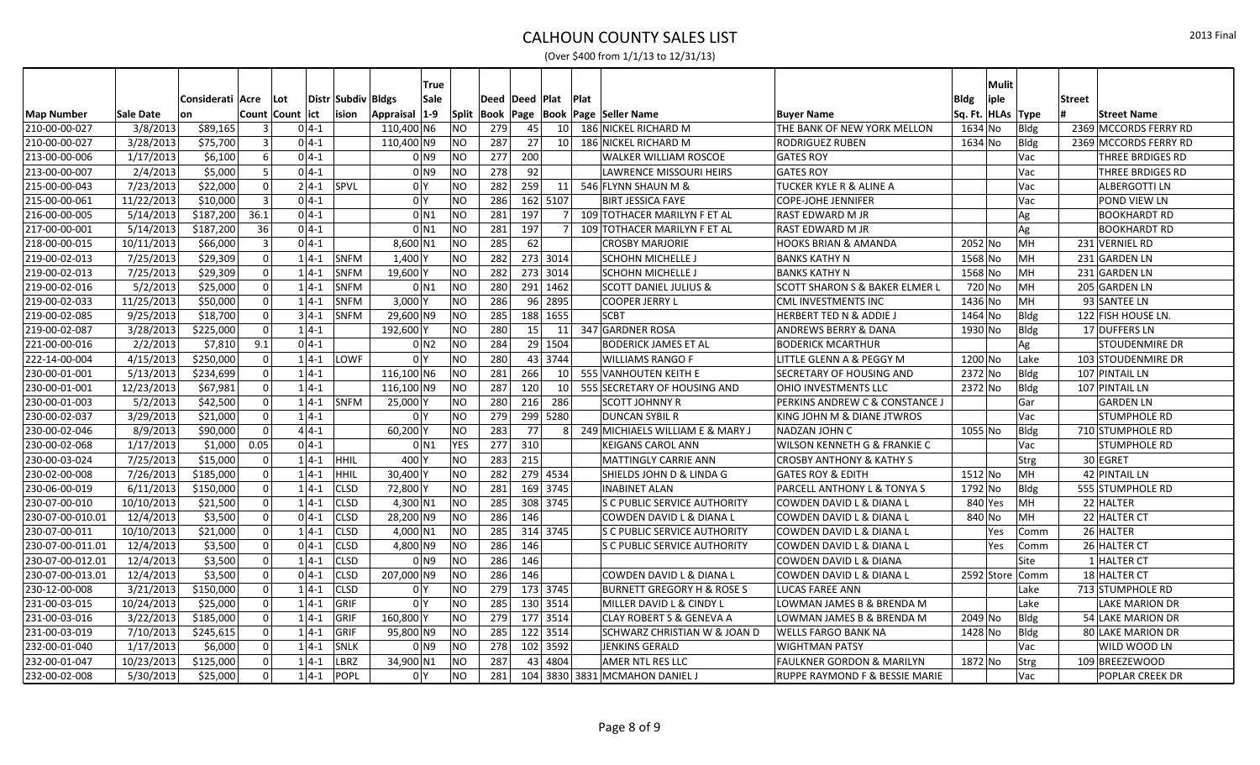|                   |            |                  |                  |          |                       | <b>True</b>         |                |                     |            |                       |                |                                         |                                           |                   | Mulit |                 |               |                         |
|-------------------|------------|------------------|------------------|----------|-----------------------|---------------------|----------------|---------------------|------------|-----------------------|----------------|-----------------------------------------|-------------------------------------------|-------------------|-------|-----------------|---------------|-------------------------|
|                   |            | Considerati Acre |                  | l Lot    | Distr  Subdiv   Bldgs | Sale                |                | Deed Deed Plat      |            |                       |                | <b>Plat</b>                             |                                           | Bldg              |       |                 | <b>Street</b> |                         |
| <b>Map Number</b> | Sale Date  | lon              | Count Count lict |          | ision                 | Appraisal 1-9       |                | Split   Book   Page |            |                       |                | <b>Book Page Seller Name</b>            | <b>Buyer Name</b>                         | Sq. Ft. HLAs Type | iple  |                 |               | <b>Street Name</b>      |
| 210-00-00-027     | 3/8/2013   | \$89,165         |                  | $0 4-1 $ |                       | 110,400 N6          | <b>NO</b>      | 279                 | 45         |                       |                | 10 186 NICKEL RICHARD M                 | THE BANK OF NEW YORK MELLON               | 1634 No           |       | Bldg            |               | 2369 MCCORDS FERRY RD   |
| 210-00-00-027     | 3/28/2013  | \$75,700         |                  | $0 4-1$  |                       | 110,400 N9          | <b>NO</b>      | 287                 | 27         |                       |                | 10 186 NICKEL RICHARD M                 | <b>RODRIGUEZ RUBEN</b>                    | 1634 No           |       | Bldg            |               | 2369 MCCORDS FERRY RD   |
| 213-00-00-006     | 1/17/2013  | \$6,100          | $6 \mid$         | $0 4-1 $ |                       | 0 N9                | NO             | 277                 | 200        |                       |                | <b>WALKER WILLIAM ROSCOE</b>            | <b>GATES ROY</b>                          |                   |       | Vac             |               | <b>THREE BRDIGES RD</b> |
| 213-00-00-007     | 2/4/2013   | \$5,000          |                  | $0 4-1$  |                       | $01$ N <sub>9</sub> | <b>NO</b>      | 278                 | 92         |                       |                | LAWRENCE MISSOURI HEIRS                 | <b>GATES ROY</b>                          |                   |       | Vac             |               | <b>THREE BRDIGES RD</b> |
| 215-00-00-043     | 7/23/2013  | \$22,000         |                  |          | $2 4-1 $ SPVL         | 0 <sup>Y</sup>      | N <sub>O</sub> | 282                 | 259        |                       |                | 11 546 FLYNN SHAUN M &                  | <b>TUCKER KYLE R &amp; ALINE A</b>        |                   |       | Vac             |               | <b>ALBERGOTTI LN</b>    |
| 215-00-00-061     | 11/22/2013 | \$10,000         |                  | $0 4-1 $ |                       | 0 <sup>N</sup>      | NO             | 286                 |            | 162 5107              |                | <b>BIRT JESSICA FAYE</b>                | <b>COPE-JOHE JENNIFER</b>                 |                   |       | Vac             |               | POND VIEW LN            |
| 216-00-00-005     | 5/14/2013  | \$187,200        | 36.1             | $0 4-1 $ |                       | $0$ N <sub>1</sub>  | NO             | 281                 | 197        |                       | 71             | 109 TOTHACER MARILYN F ET AL            | RAST EDWARD M JR                          |                   |       | Ag              |               | <b>BOOKHARDT RD</b>     |
| 217-00-00-001     | 5/14/2013  | \$187,200        | 36               | $0 4-1 $ |                       | $0$ N <sub>1</sub>  | NO             | 281                 | 197        |                       |                | 109 TOTHACER MARILYN F ET AL            | <b>RAST EDWARD M JR</b>                   |                   |       | Ag              |               | <b>BOOKHARDT RD</b>     |
| 218-00-00-015     | 10/11/2013 | \$66,000         |                  | $0 4-1 $ |                       | $8,600$ N1          | NO             | 285                 | 62         |                       |                | <b>CROSBY MARJORIE</b>                  | HOOKS BRIAN & AMANDA                      | 2052 No           |       | MH              |               | 231 VERNIEL RD          |
| 219-00-02-013     | 7/25/2013  | \$29,309         |                  | $1 4-1 $ | SNFM                  | $1,400$ Y           | NO             | 282                 |            | 273 3014              |                | <b>SCHOHN MICHELLE J</b>                | <b>BANKS KATHY N</b>                      | 1568 No           |       | MH              |               | 231 GARDEN LN           |
| 219-00-02-013     | 7/25/2013  | \$29,309         | $\Omega$         | $1 4-1$  | <b>SNFM</b>           | 19,600 Y            | NO             | 282                 |            | 273 3014              |                | <b>SCHOHN MICHELLE J</b>                | <b>BANKS KATHY N</b>                      | 1568 No           |       | MH              |               | 231 GARDEN LN           |
| 219-00-02-016     | 5/2/2013   | \$25,000         |                  | $1 4-1$  | <b>SNFM</b>           | $0$ N <sub>1</sub>  | NO             | 280                 |            | 291 1462              |                | SCOTT DANIEL JULIUS &                   | <b>SCOTT SHARON S &amp; BAKER ELMER L</b> | 720 No            |       | MH              |               | 205 GARDEN LN           |
| 219-00-02-033     | 11/25/2013 | \$50,000         | U                | $1 4-1$  | <b>SNFM</b>           | $3,000$ Y           | NO             | 286                 |            | 96 2895               |                | <b>COOPER JERRY L</b>                   | <b>CML INVESTMENTS INC</b>                | 1436 No           |       | MH              |               | 93 SANTEE LN            |
| 219-00-02-085     | 9/25/2013  | \$18,700         | $\Omega$         | $3 4-1 $ | <b>SNFM</b>           | 29,600 N9           | NO             | 285                 |            | 188 1655              |                | <b>SCBT</b>                             | <b>HERBERT TED N &amp; ADDIE J</b>        | 1464 No           |       | Bldg            |               | 122 FISH HOUSE LN.      |
| 219-00-02-087     | 3/28/2013  | \$225,000        | $\Omega$         | $1 4-1$  |                       | 192,600 Y           | NO             | 280                 | 15         |                       |                | 11 347 GARDNER ROSA                     | <b>ANDREWS BERRY &amp; DANA</b>           | 1930 No           |       | Bldg            |               | 17 DUFFERS LN           |
| 221-00-00-016     | 2/2/2013   | \$7,810          | 9.1              | $0 4-1 $ |                       | 0 N2                | <b>NO</b>      | 284                 |            | 29 1504               |                | <b>BODERICK JAMES ET AL</b>             | <b>BODERICK MCARTHUR</b>                  |                   |       | Ag              |               | <b>STOUDENMIRE DR</b>   |
| 222-14-00-004     | 4/15/2013  | \$250,000        | $\Omega$         | $14-1$   | LOWF                  | 0 <sup>Y</sup>      | NO             | 280                 |            | 43 3744               |                | <b>WILLIAMS RANGO F</b>                 | LITTLE GLENN A & PEGGY M                  | 1200 No           |       | Lake            |               | 103 STOUDENMIRE DR      |
| 230-00-01-001     | 5/13/2013  | \$234,699        |                  | $1 4-1 $ |                       | 116,100 N6          | NO             | 281                 | 266        |                       |                | 10 555 VANHOUTEN KEITH E                | <b>SECRETARY OF HOUSING AND</b>           | 2372 No           |       | Bldg            |               | 107 PINTAIL LN          |
| 230-00-01-001     | 12/23/2013 | \$67,981         | $\Omega$         | $1 4-1$  |                       | 116,100 N9          | NO             | 287                 | <b>120</b> |                       |                | 10 555 SECRETARY OF HOUSING AND         | <b>OHIO INVESTMENTS LLC</b>               | 2372 No           |       | Bldg            |               | 107 PINTAIL LN          |
| 230-00-01-003     | 5/2/2013   | \$42,500         |                  |          | $1 4-1 $ SNFM         | 25,000              | NO             | 280                 | 216        | 286                   |                | <b>SCOTT JOHNNY R</b>                   | <b>PERKINS ANDREW C &amp; CONSTANCE J</b> |                   |       | Gar             |               | <b>GARDEN LN</b>        |
| 230-00-02-037     | 3/29/2013  | \$21,000         | $\Omega$         | $1 4-1$  |                       | 0 <sup>1</sup>      | <b>NO</b>      | 279                 |            | 299 5280              |                | <b>DUNCAN SYBIL R</b>                   | KING JOHN M & DIANE JTWROS                |                   |       | Vac             |               | <b>STUMPHOLE RD</b>     |
| 230-00-02-046     | 8/9/2013   | \$90,000         |                  | $4 4-1 $ |                       | 60,200              | NO             | 283                 | 77         |                       | 8 <sup>1</sup> | 249 MICHIAELS WILLIAM E & MARY J        | NADZAN JOHN C                             | $1055$ No         |       | Bldg            |               | 710 STUMPHOLE RD        |
| 230-00-02-068     | 1/17/2013  | \$1,000          | 0.05             | $0 4-1 $ |                       | $0$ <sub>N1</sub>   | <b>YES</b>     | 277                 | 310        |                       |                | <b>KEIGANS CAROL ANN</b>                | WILSON KENNETH G & FRANKIE C              |                   |       | Vac             |               | STUMPHOLE RD            |
| 230-00-03-024     | 7/25/2013  | \$15,000         |                  | $1 4-1 $ | <b>HHIL</b>           | $400\vert$          | NO             | 283                 | 215        |                       |                | <b>MATTINGLY CARRIE ANN</b>             | <b>CROSBY ANTHONY &amp; KATHY S</b>       |                   |       | <b>Strg</b>     |               | 30 EGRET                |
| 230-02-00-008     | 7/26/2013  | \$185,000        |                  | $1 4-1$  | <b>HHIL</b>           | $30,400$ Y          | N <sub>O</sub> | 282                 |            | $\overline{279}$ 4534 |                | SHIELDS JOHN D & LINDA G                | <b>GATES ROY &amp; EDITH</b>              | 1512 No           |       | MH              |               | 42 PINTAIL LN           |
| 230-06-00-019     | 6/11/2013  | \$150,000        |                  | $1 4-1 $ | CLSD                  | 72,800 Y            | NO             | 281                 |            | 169 3745              |                | <b>INABINET ALAN</b>                    | <b>PARCELL ANTHONY L &amp; TONYA S</b>    | 1792 No           |       | Bldg            |               | 555 STUMPHOLE RD        |
| 230-07-00-010     | 10/10/2013 | \$21,500         | $\Omega$         | $1 4-1 $ | <b>CLSD</b>           | 4,300 N1            | N <sub>O</sub> | 285                 |            | 308 3745              |                | <b>S C PUBLIC SERVICE AUTHORITY</b>     | COWDEN DAVID L & DIANA L                  | 840 Yes           |       | MH              |               | 22 HALTER               |
| 230-07-00-010.01  | 12/4/2013  | \$3,500          |                  | $04-1$   | <b>CLSD</b>           | 28,200 N9           | <b>NO</b>      | 286                 | 146        |                       |                | COWDEN DAVID L & DIANA L                | COWDEN DAVID L & DIANA L                  | 840 No            |       | MH              |               | 22 HALTER CT            |
| 230-07-00-011     | 10/10/2013 | \$21,000         |                  | $1 4-1$  | <b>CLSD</b>           | $4,000$ N1          | NO             | 285                 |            | 314 3745              |                | <b>S C PUBLIC SERVICE AUTHORITY</b>     | <b>COWDEN DAVID L &amp; DIANA L</b>       |                   | Yes   | Comm            |               | 26 HALTER               |
| 230-07-00-011.01  | 12/4/2013  | \$3,500          |                  | $0 4-1 $ | <b>CLSD</b>           | $4,800$ N9          | N <sub>O</sub> | 286                 | 146        |                       |                | <b>S C PUBLIC SERVICE AUTHORITY</b>     | COWDEN DAVID L & DIANA L                  |                   | Yes   | Comm            |               | 26 HALTER CT            |
| 230-07-00-012.01  | 12/4/2013  | \$3,500          |                  | $1 4-1$  | <b>CLSD</b>           | 0 <sub>N9</sub>     | N              | 286                 | 146        |                       |                |                                         | COWDEN DAVID L & DIANA                    |                   |       | Site            |               | 1 HALTER CT             |
| 230-07-00-013.01  | 12/4/2013  | \$3,500          |                  | $04-1$   | <b>CLSD</b>           | 207,000 N9          | N <sub>O</sub> | 286                 | 146        |                       |                | COWDEN DAVID L & DIANA L                | COWDEN DAVID L & DIANA L                  |                   |       | 2592 Store Comm |               | 18 HALTER CT            |
| 230-12-00-008     | 3/21/2013  | \$150,000        |                  | $1 4-1$  | <b>CLSD</b>           | 0 <sup>1</sup>      | <b>NO</b>      | 279                 |            | 173 3745              |                | BURNETT GREGORY H & ROSE S              | LUCAS FAREE ANN                           |                   |       | Lake            |               | 713 STUMPHOLE RD        |
| 231-00-03-015     | 10/24/2013 | \$25,000         |                  | $1 4-1 $ | GRIF                  | 0 Y                 | NO             | 285                 |            | 130 3514              |                | MILLER DAVID L & CINDY L                | LOWMAN JAMES B & BRENDA M                 |                   |       | Lake            |               | <b>LAKE MARION DR</b>   |
| 231-00-03-016     | 3/22/2013  | \$185,000        |                  | $1 4-1$  | <b>GRIF</b>           | 160,800 Y           | <b>NO</b>      | 279                 |            | 177 3514              |                | <b>CLAY ROBERT S &amp; GENEVA A</b>     | LOWMAN JAMES B & BRENDA M                 | 2049 No           |       | Bldg            |               | 54 LAKE MARION DR       |
| 231-00-03-019     | 7/10/2013  | \$245,615        |                  | $1 4-1$  | GRIF                  | 95,800 N9           | N <sub>O</sub> | 285                 |            | 122 3514              |                | <b>SCHWARZ CHRISTIAN W &amp; JOAN D</b> | <b>WELLS FARGO BANK NA</b>                | 1428 No           |       | Bldg            |               | 80 LAKE MARION DR       |
| 232-00-01-040     | 1/17/2013  | \$6,000          |                  | $1 4-1$  | <b>SNLK</b>           | 0 <sub>N9</sub>     | <b>NO</b>      | 278                 |            | 102 3592              |                | <b>JENKINS GERALD</b>                   | <b>WIGHTMAN PATSY</b>                     |                   |       | Vac             |               | WILD WOOD LN            |
| 232-00-01-047     | 10/23/2013 | \$125,000        |                  | $1 4-1$  | LBRZ                  | 34,900 N1           | <b>NO</b>      | 287                 |            | 43 4804               |                | <b>AMER NTL RES LLC</b>                 | FAULKNER GORDON & MARILYN                 | 1872 No           |       | Strg            |               | 109 BREEZEWOOD          |
| 232-00-02-008     | 5/30/2013  | \$25,000         | $\Omega$         | $1 4-1 $ | <b>POPL</b>           | 0 <sup>1</sup>      | NO             | 281                 |            |                       |                | 104 3830 3831 MCMAHON DANIEL J          | <b>RUPPE RAYMOND F &amp; BESSIE MARIE</b> |                   |       | Vac             |               | <b>POPLAR CREEK DR</b>  |